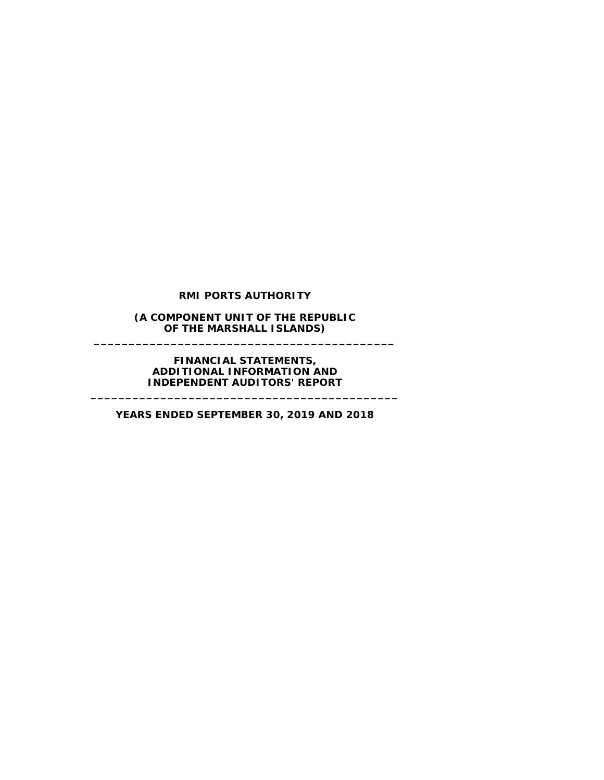# **RMI PORTS AUTHORITY**

**(A COMPONENT UNIT OF THE REPUBLIC OF THE MARSHALL ISLANDS) \_\_\_\_\_\_\_\_\_\_\_\_\_\_\_\_\_\_\_\_\_\_\_\_\_\_\_\_\_\_\_\_\_\_\_\_\_\_\_\_\_\_\_**

> **FINANCIAL STATEMENTS, ADDITIONAL INFORMATION AND INDEPENDENT AUDITORS' REPORT**

**\_\_\_\_\_\_\_\_\_\_\_\_\_\_\_\_\_\_\_\_\_\_\_\_\_\_\_\_\_\_\_\_\_\_\_\_\_\_\_\_\_\_\_\_**

**YEARS ENDED SEPTEMBER 30, 2019 AND 2018**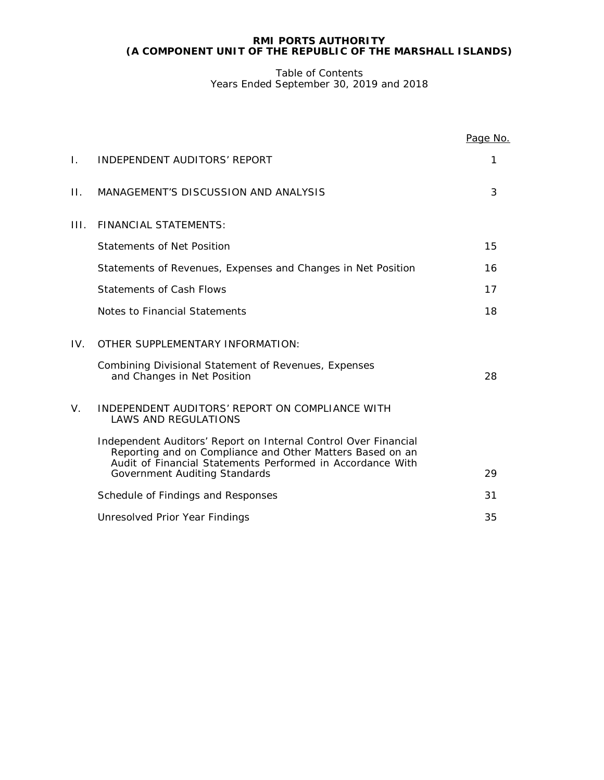# Table of Contents Years Ended September 30, 2019 and 2018

|         |                                                                                                                                                                                                                                    | Page No. |
|---------|------------------------------------------------------------------------------------------------------------------------------------------------------------------------------------------------------------------------------------|----------|
| Τ.      | INDEPENDENT AUDITORS' REPORT                                                                                                                                                                                                       | 1        |
| $\Pi$ . | MANAGEMENT'S DISCUSSION AND ANALYSIS                                                                                                                                                                                               | 3        |
| III.    | <b>FINANCIAL STATEMENTS:</b>                                                                                                                                                                                                       |          |
|         | <b>Statements of Net Position</b>                                                                                                                                                                                                  | 15       |
|         | Statements of Revenues, Expenses and Changes in Net Position                                                                                                                                                                       | 16       |
|         | Statements of Cash Flows                                                                                                                                                                                                           | 17       |
|         | Notes to Financial Statements                                                                                                                                                                                                      | 18       |
| IV.     | OTHER SUPPLEMENTARY INFORMATION:                                                                                                                                                                                                   |          |
|         | <b>Combining Divisional Statement of Revenues, Expenses</b><br>and Changes in Net Position                                                                                                                                         | 28       |
| V.      | <b>INDEPENDENT AUDITORS' REPORT ON COMPLIANCE WITH</b><br><b>LAWS AND REGULATIONS</b>                                                                                                                                              |          |
|         | Independent Auditors' Report on Internal Control Over Financial<br>Reporting and on Compliance and Other Matters Based on an<br>Audit of Financial Statements Performed in Accordance With<br><b>Government Auditing Standards</b> | 29       |
|         | Schedule of Findings and Responses                                                                                                                                                                                                 | 31       |
|         | Unresolved Prior Year Findings                                                                                                                                                                                                     | 35       |
|         |                                                                                                                                                                                                                                    |          |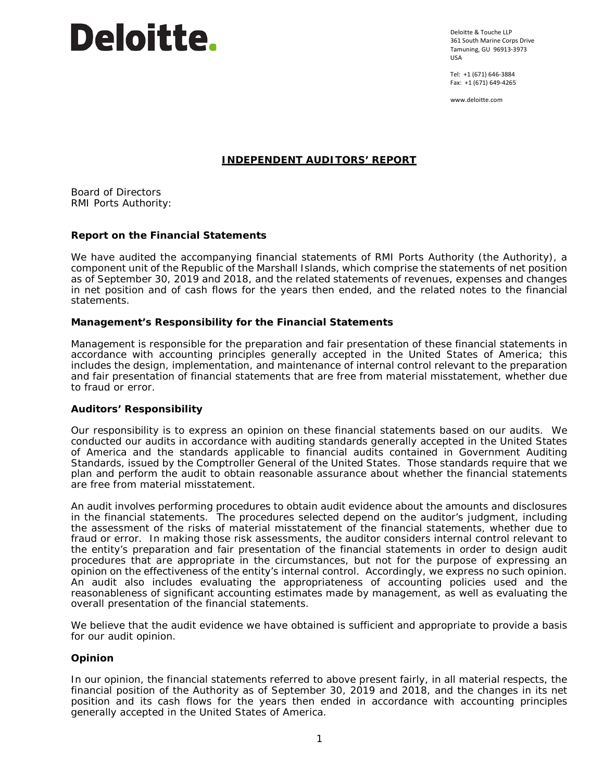# Deloitte.

Deloitte & Touche LLP 361 South Marine Corps Drive Tamuning, GU 96913-3973 USA

Tel: +1 (671) 646-3884 Fax: +1 (671) 649-4265

www.deloitte.com

# **INDEPENDENT AUDITORS' REPORT**

Board of Directors RMI Ports Authority:

# **Report on the Financial Statements**

We have audited the accompanying financial statements of RMI Ports Authority (the Authority), a component unit of the Republic of the Marshall Islands, which comprise the statements of net position as of September 30, 2019 and 2018, and the related statements of revenues, expenses and changes in net position and of cash flows for the years then ended, and the related notes to the financial statements.

# **Management's Responsibility for the Financial Statements**

Management is responsible for the preparation and fair presentation of these financial statements in accordance with accounting principles generally accepted in the United States of America; this includes the design, implementation, and maintenance of internal control relevant to the preparation and fair presentation of financial statements that are free from material misstatement, whether due to fraud or error.

# **Auditors' Responsibility**

Our responsibility is to express an opinion on these financial statements based on our audits. We conducted our audits in accordance with auditing standards generally accepted in the United States of America and the standards applicable to financial audits contained in *Government Auditing Standards*, issued by the Comptroller General of the United States. Those standards require that we plan and perform the audit to obtain reasonable assurance about whether the financial statements are free from material misstatement.

An audit involves performing procedures to obtain audit evidence about the amounts and disclosures in the financial statements. The procedures selected depend on the auditor's judgment, including the assessment of the risks of material misstatement of the financial statements, whether due to fraud or error. In making those risk assessments, the auditor considers internal control relevant to the entity's preparation and fair presentation of the financial statements in order to design audit procedures that are appropriate in the circumstances, but not for the purpose of expressing an opinion on the effectiveness of the entity's internal control. Accordingly, we express no such opinion. An audit also includes evaluating the appropriateness of accounting policies used and the reasonableness of significant accounting estimates made by management, as well as evaluating the overall presentation of the financial statements.

We believe that the audit evidence we have obtained is sufficient and appropriate to provide a basis for our audit opinion.

# **Opinion**

In our opinion, the financial statements referred to above present fairly, in all material respects, the financial position of the Authority as of September 30, 2019 and 2018, and the changes in its net position and its cash flows for the years then ended in accordance with accounting principles generally accepted in the United States of America.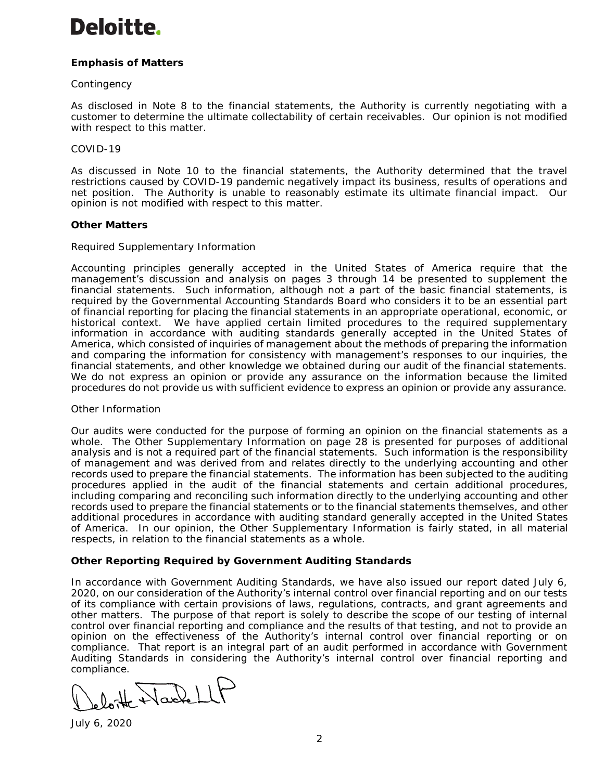# **Deloitte.**

# *Emphasis of Matters*

# *Contingency*

As disclosed in Note 8 to the financial statements, the Authority is currently negotiating with a customer to determine the ultimate collectability of certain receivables. Our opinion is not modified with respect to this matter.

# *COVID-19*

As discussed in Note 10 to the financial statements, the Authority determined that the travel restrictions caused by COVID-19 pandemic negatively impact its business, results of operations and net position. The Authority is unable to reasonably estimate its ultimate financial impact. Our opinion is not modified with respect to this matter.

# **Other Matters**

# *Required Supplementary Information*

Accounting principles generally accepted in the United States of America require that the management's discussion and analysis on pages 3 through 14 be presented to supplement the financial statements. Such information, although not a part of the basic financial statements, is required by the Governmental Accounting Standards Board who considers it to be an essential part of financial reporting for placing the financial statements in an appropriate operational, economic, or historical context. We have applied certain limited procedures to the required supplementary information in accordance with auditing standards generally accepted in the United States of America, which consisted of inquiries of management about the methods of preparing the information and comparing the information for consistency with management's responses to our inquiries, the financial statements, and other knowledge we obtained during our audit of the financial statements. We do not express an opinion or provide any assurance on the information because the limited procedures do not provide us with sufficient evidence to express an opinion or provide any assurance.

# *Other Information*

Our audits were conducted for the purpose of forming an opinion on the financial statements as a whole. The Other Supplementary Information on page 28 is presented for purposes of additional analysis and is not a required part of the financial statements. Such information is the responsibility of management and was derived from and relates directly to the underlying accounting and other records used to prepare the financial statements. The information has been subjected to the auditing procedures applied in the audit of the financial statements and certain additional procedures, including comparing and reconciling such information directly to the underlying accounting and other records used to prepare the financial statements or to the financial statements themselves, and other additional procedures in accordance with auditing standard generally accepted in the United States of America. In our opinion, the Other Supplementary Information is fairly stated, in all material respects, in relation to the financial statements as a whole.

# **Other Reporting Required by** *Government Auditing Standards*

In accordance with *Government Auditing Standards*, we have also issued our report dated July 6, 2020, on our consideration of the Authority's internal control over financial reporting and on our tests of its compliance with certain provisions of laws, regulations, contracts, and grant agreements and other matters. The purpose of that report is solely to describe the scope of our testing of internal control over financial reporting and compliance and the results of that testing, and not to provide an opinion on the effectiveness of the Authority's internal control over financial reporting or on compliance. That report is an integral part of an audit performed in accordance with *Government Auditing Standards* in considering the Authority's internal control over financial reporting and compliance.

loite Nachell

July 6, 2020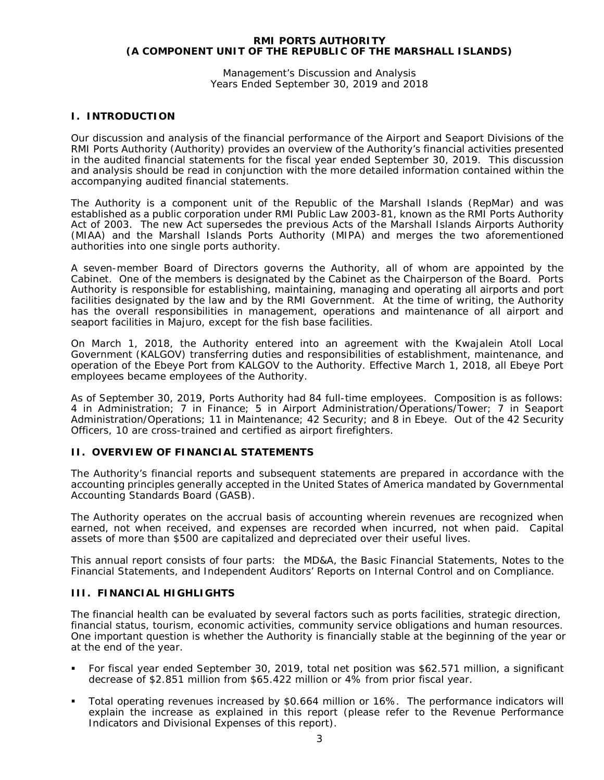Management's Discussion and Analysis Years Ended September 30, 2019 and 2018

# **I. INTRODUCTION**

Our discussion and analysis of the financial performance of the Airport and Seaport Divisions of the RMI Ports Authority (Authority) provides an overview of the Authority's financial activities presented in the audited financial statements for the fiscal year ended September 30, 2019. This discussion and analysis should be read in conjunction with the more detailed information contained within the accompanying audited financial statements.

The Authority is a component unit of the Republic of the Marshall Islands (RepMar) and was established as a public corporation under RMI Public Law 2003-81, known as the RMI Ports Authority Act of 2003. The new Act supersedes the previous Acts of the Marshall Islands Airports Authority (MIAA) and the Marshall Islands Ports Authority (MIPA) and merges the two aforementioned authorities into one single ports authority.

A seven-member Board of Directors governs the Authority, all of whom are appointed by the Cabinet. One of the members is designated by the Cabinet as the Chairperson of the Board. Ports Authority is responsible for establishing, maintaining, managing and operating all airports and port facilities designated by the law and by the RMI Government. At the time of writing, the Authority has the overall responsibilities in management, operations and maintenance of all airport and seaport facilities in Majuro, except for the fish base facilities.

On March 1, 2018, the Authority entered into an agreement with the Kwajalein Atoll Local Government (KALGOV) transferring duties and responsibilities of establishment, maintenance, and operation of the Ebeye Port from KALGOV to the Authority. Effective March 1, 2018, all Ebeye Port employees became employees of the Authority.

As of September 30, 2019, Ports Authority had 84 full-time employees. Composition is as follows: 4 in Administration; 7 in Finance; 5 in Airport Administration/Operations/Tower; 7 in Seaport Administration/Operations; 11 in Maintenance; 42 Security; and 8 in Ebeye. Out of the 42 Security Officers, 10 are cross-trained and certified as airport firefighters.

# **II. OVERVIEW OF FINANCIAL STATEMENTS**

The Authority's financial reports and subsequent statements are prepared in accordance with the accounting principles generally accepted in the United States of America mandated by Governmental Accounting Standards Board (GASB).

The Authority operates on the accrual basis of accounting wherein revenues are recognized when earned, not when received, and expenses are recorded when incurred, not when paid. Capital assets of more than \$500 are capitalized and depreciated over their useful lives.

This annual report consists of four parts: the MD&A, the Basic Financial Statements, Notes to the Financial Statements, and Independent Auditors' Reports on Internal Control and on Compliance.

# **III. FINANCIAL HIGHLIGHTS**

The financial health can be evaluated by several factors such as ports facilities, strategic direction, financial status, tourism, economic activities, community service obligations and human resources. One important question is whether the Authority is financially stable at the beginning of the year or at the end of the year.

- For fiscal year ended September 30, 2019, total net position was \$62.571 million, a significant decrease of \$2.851 million from \$65.422 million or 4% from prior fiscal year.
- Total operating revenues increased by \$0.664 million or 16%. The performance indicators will explain the increase as explained in this report (please refer to the Revenue Performance Indicators and Divisional Expenses of this report).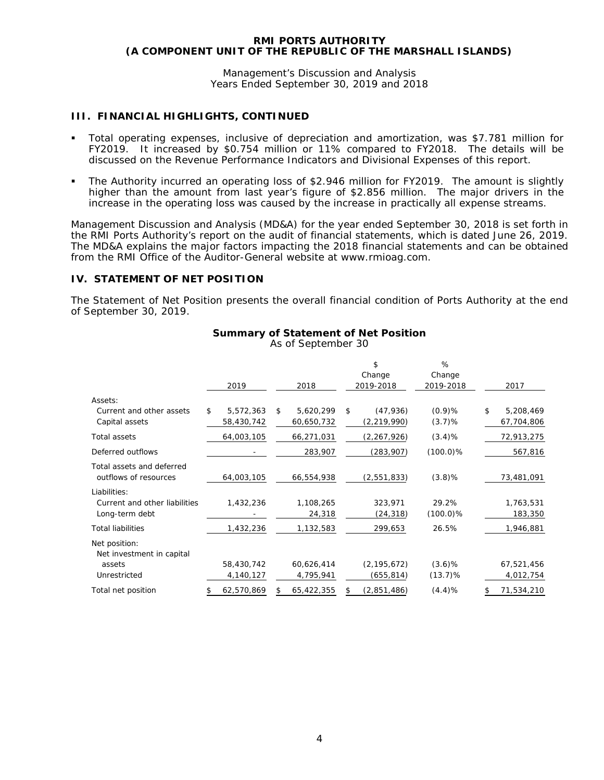Management's Discussion and Analysis Years Ended September 30, 2019 and 2018

# **III. FINANCIAL HIGHLIGHTS, CONTINUED**

- Total operating expenses, inclusive of depreciation and amortization, was \$7.781 million for FY2019. It increased by \$0.754 million or 11% compared to FY2018. The details will be discussed on the Revenue Performance Indicators and Divisional Expenses of this report.
- The Authority incurred an operating loss of \$2.946 million for FY2019. The amount is slightly higher than the amount from last year's figure of \$2.856 million. The major drivers in the increase in the operating loss was caused by the increase in practically all expense streams.

Management Discussion and Analysis (MD&A) for the year ended September 30, 2018 is set forth in the RMI Ports Authority's report on the audit of financial statements, which is dated June 26, 2019. The MD&A explains the major factors impacting the 2018 financial statements and can be obtained from the RMI Office of the Auditor-General website at www.rmioag.com.

# **IV. STATEMENT OF NET POSITION**

The Statement of Net Position presents the overall financial condition of Ports Authority at the end of September 30, 2019.

|                                                                 | 2019                          | 2018                          | \$<br>Change<br>2019-2018       | %<br>Change<br>2019-2018 | 2017                          |
|-----------------------------------------------------------------|-------------------------------|-------------------------------|---------------------------------|--------------------------|-------------------------------|
| Assets:<br>Current and other assets<br>Capital assets           | \$<br>5,572,363<br>58,430,742 | \$<br>5,620,299<br>60,650,732 | \$<br>(47,936)<br>(2, 219, 990) | (0.9)%<br>(3.7)%         | \$<br>5,208,469<br>67,704,806 |
| Total assets                                                    | 64,003,105                    | 66,271,031                    | (2, 267, 926)                   | (3.4)%                   | 72,913,275                    |
| Deferred outflows                                               |                               | 283,907                       | (283, 907)                      | $(100.0)\%$              | 567,816                       |
| Total assets and deferred<br>outflows of resources              | 64,003,105                    | 66,554,938                    | (2, 551, 833)                   | (3.8)%                   | 73,481,091                    |
| Liabilities:<br>Current and other liabilities<br>Long-term debt | 1,432,236                     | 1,108,265<br>24,318           | 323,971<br>(24, 318)            | 29.2%<br>$(100.0)\%$     | 1,763,531<br>183,350          |
| <b>Total liabilities</b>                                        | 1,432,236                     | 1,132,583                     | 299,653                         | 26.5%                    | 1,946,881                     |
| Net position:<br>Net investment in capital                      |                               |                               |                                 |                          |                               |
| assets<br>Unrestricted                                          | 58,430,742<br>4,140,127       | 60,626,414<br>4,795,941       | (2, 195, 672)<br>(655, 814)     | (3.6)%<br>$(13.7)\%$     | 67,521,456<br>4,012,754       |
| Total net position                                              | 62,570,869                    | 65,422,355                    | (2,851,486)                     | (4.4)%                   | 71,534,210                    |

#### **Summary of Statement of Net Position** As of September 30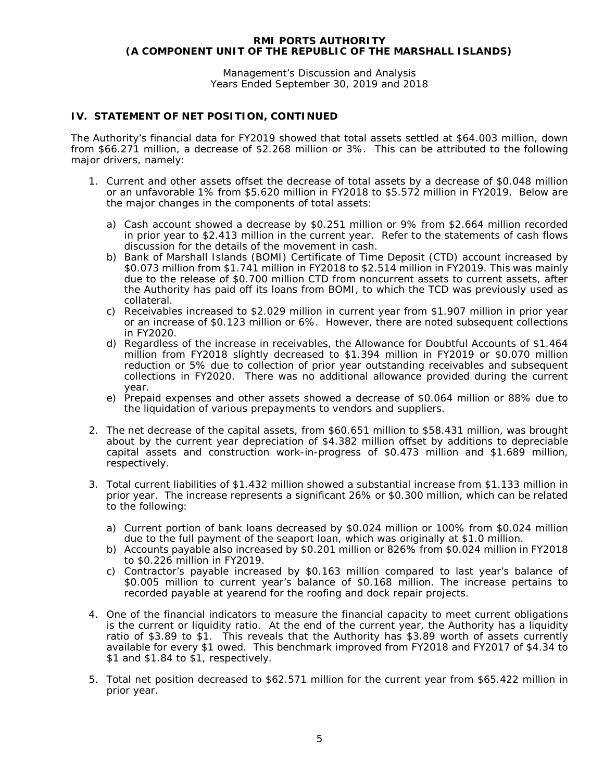Management's Discussion and Analysis Years Ended September 30, 2019 and 2018

# **IV. STATEMENT OF NET POSITION, CONTINUED**

The Authority's financial data for FY2019 showed that total assets settled at \$64.003 million, down from \$66.271 million, a decrease of \$2.268 million or 3%. This can be attributed to the following major drivers, namely:

- 1. Current and other assets offset the decrease of total assets by a decrease of \$0.048 million or an unfavorable 1% from \$5.620 million in FY2018 to \$5.572 million in FY2019. Below are the major changes in the components of total assets:
	- a) Cash account showed a decrease by \$0.251 million or 9% from \$2.664 million recorded in prior year to \$2.413 million in the current year. Refer to the statements of cash flows discussion for the details of the movement in cash.
	- b) Bank of Marshall Islands (BOMI) Certificate of Time Deposit (CTD) account increased by \$0.073 million from \$1.741 million in FY2018 to \$2.514 million in FY2019. This was mainly due to the release of \$0.700 million CTD from noncurrent assets to current assets, after the Authority has paid off its loans from BOMI, to which the TCD was previously used as collateral.
	- c) Receivables increased to \$2.029 million in current year from \$1.907 million in prior year or an increase of \$0.123 million or 6%. However, there are noted subsequent collections in FY2020.
	- d) Regardless of the increase in receivables, the Allowance for Doubtful Accounts of \$1.464 million from FY2018 slightly decreased to \$1.394 million in FY2019 or \$0.070 million reduction or 5% due to collection of prior year outstanding receivables and subsequent collections in FY2020. There was no additional allowance provided during the current year.
	- e) Prepaid expenses and other assets showed a decrease of \$0.064 million or 88% due to the liquidation of various prepayments to vendors and suppliers.
- 2. The net decrease of the capital assets, from \$60.651 million to \$58.431 million, was brought about by the current year depreciation of \$4.382 million offset by additions to depreciable capital assets and construction work-in-progress of \$0.473 million and \$1.689 million, respectively.
- 3. Total current liabilities of \$1.432 million showed a substantial increase from \$1.133 million in prior year. The increase represents a significant 26% or \$0.300 million, which can be related to the following:
	- a) Current portion of bank loans decreased by \$0.024 million or 100% from \$0.024 million due to the full payment of the seaport loan, which was originally at \$1.0 million.
	- b) Accounts payable also increased by \$0.201 million or 826% from \$0.024 million in FY2018 to \$0.226 million in FY2019.
	- c) Contractor's payable increased by \$0.163 million compared to last year's balance of \$0.005 million to current year's balance of \$0.168 million. The increase pertains to recorded payable at yearend for the roofing and dock repair projects.
- 4. One of the financial indicators to measure the financial capacity to meet current obligations is the current or liquidity ratio. At the end of the current year, the Authority has a liquidity ratio of \$3.89 to \$1. This reveals that the Authority has \$3.89 worth of assets currently available for every \$1 owed. This benchmark improved from FY2018 and FY2017 of \$4.34 to \$1 and \$1.84 to \$1, respectively.
- 5. Total net position decreased to \$62.571 million for the current year from \$65.422 million in prior year.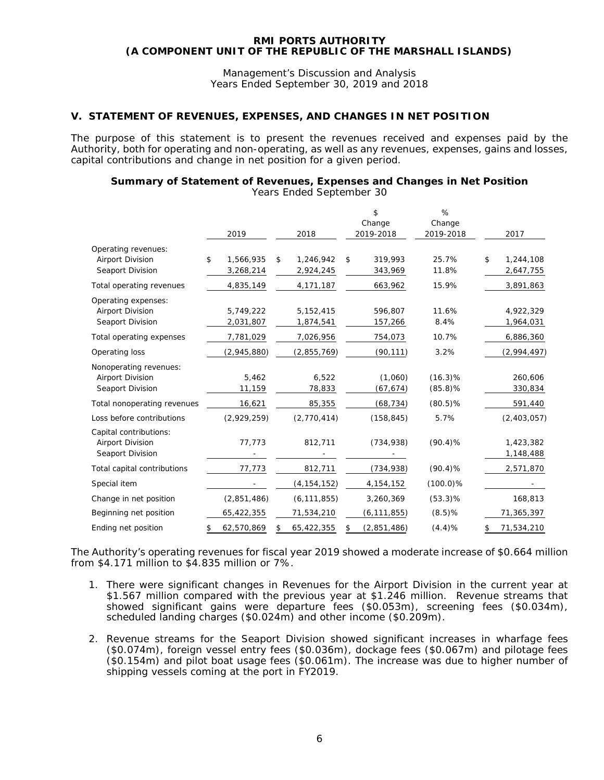Management's Discussion and Analysis Years Ended September 30, 2019 and 2018

# **V. STATEMENT OF REVENUES, EXPENSES, AND CHANGES IN NET POSITION**

The purpose of this statement is to present the revenues received and expenses paid by the Authority, both for operating and non-operating, as well as any revenues, expenses, gains and losses, capital contributions and change in net position for a given period.

#### **Summary of Statement of Revenues, Expenses and Changes in Net Position** Years Ended September 30

|                                                                | 2019                         | 2018                         | \$<br>Change<br>2019-2018 | %<br>Change<br>2019-2018 | 2017                         |
|----------------------------------------------------------------|------------------------------|------------------------------|---------------------------|--------------------------|------------------------------|
| Operating revenues:<br>Airport Division<br>Seaport Division    | \$<br>1,566,935<br>3,268,214 | 1,246,942<br>\$<br>2,924,245 | 319,993<br>\$<br>343,969  | 25.7%<br>11.8%           | 1,244,108<br>\$<br>2,647,755 |
| Total operating revenues                                       | 4,835,149                    | 4,171,187                    | 663,962                   | 15.9%                    | 3,891,863                    |
| Operating expenses:<br>Airport Division<br>Seaport Division    | 5,749,222<br>2,031,807       | 5, 152, 415<br>1,874,541     | 596,807<br>157,266        | 11.6%<br>8.4%            | 4,922,329<br>1,964,031       |
| Total operating expenses                                       | 7,781,029                    | 7,026,956                    | 754,073                   | 10.7%                    | 6,886,360                    |
| Operating loss                                                 | (2,945,880)                  | (2,855,769)                  | (90, 111)                 | 3.2%                     | (2,994,497)                  |
| Nonoperating revenues:<br>Airport Division<br>Seaport Division | 5,462<br>11,159              | 6,522<br>78,833              | (1,060)<br>(67, 674)      | $(16.3)\%$<br>$(85.8)$ % | 260,606<br>330,834           |
| Total nonoperating revenues                                    | 16,621                       | 85,355                       | (68, 734)                 | $(80.5)\%$               | 591,440                      |
| Loss before contributions                                      | (2,929,259)                  | (2,770,414)                  | (158, 845)                | 5.7%                     | (2,403,057)                  |
| Capital contributions:<br>Airport Division<br>Seaport Division | 77,773                       | 812,711                      | (734, 938)                | $(90.4)\%$               | 1,423,382<br>1,148,488       |
| Total capital contributions                                    | 77,773                       | 812,711                      | (734, 938)                | $(90.4)\%$               | 2,571,870                    |
| Special item                                                   |                              | (4, 154, 152)                | 4,154,152                 | $(100.0)\%$              |                              |
| Change in net position                                         | (2,851,486)                  | (6, 111, 855)                | 3,260,369                 | $(53.3)\%$               | 168,813                      |
| Beginning net position                                         | 65,422,355                   | 71,534,210                   | (6, 111, 855)             | $(8.5)$ %                | 71,365,397                   |
| Ending net position                                            | 62,570,869<br>\$             | 65,422,355<br>\$             | (2,851,486)<br>\$         | (4.4)%                   | 71,534,210<br>\$             |

The Authority's operating revenues for fiscal year 2019 showed a moderate increase of \$0.664 million from \$4.171 million to \$4.835 million or 7%.

- 1. There were significant changes in Revenues for the Airport Division in the current year at \$1.567 million compared with the previous year at \$1.246 million. Revenue streams that showed significant gains were departure fees (\$0.053m), screening fees (\$0.034m), scheduled landing charges (\$0.024m) and other income (\$0.209m).
- 2. Revenue streams for the Seaport Division showed significant increases in wharfage fees (\$0.074m), foreign vessel entry fees (\$0.036m), dockage fees (\$0.067m) and pilotage fees (\$0.154m) and pilot boat usage fees (\$0.061m). The increase was due to higher number of shipping vessels coming at the port in FY2019.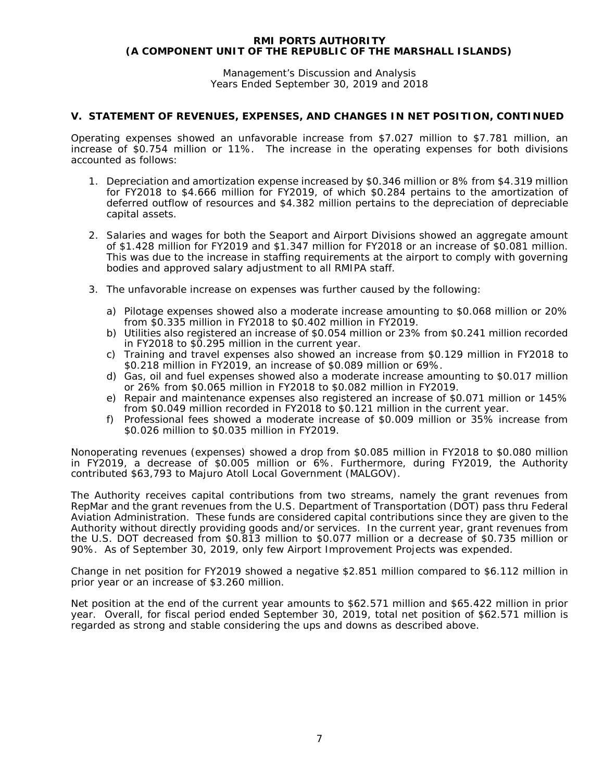Management's Discussion and Analysis Years Ended September 30, 2019 and 2018

# **V. STATEMENT OF REVENUES, EXPENSES, AND CHANGES IN NET POSITION, CONTINUED**

Operating expenses showed an unfavorable increase from \$7.027 million to \$7.781 million, an increase of \$0.754 million or 11%. The increase in the operating expenses for both divisions accounted as follows:

- 1. Depreciation and amortization expense increased by \$0.346 million or 8% from \$4.319 million for FY2018 to \$4.666 million for FY2019, of which \$0.284 pertains to the amortization of deferred outflow of resources and \$4.382 million pertains to the depreciation of depreciable capital assets.
- 2. Salaries and wages for both the Seaport and Airport Divisions showed an aggregate amount of \$1.428 million for FY2019 and \$1.347 million for FY2018 or an increase of \$0.081 million. This was due to the increase in staffing requirements at the airport to comply with governing bodies and approved salary adjustment to all RMIPA staff.
- 3. The unfavorable increase on expenses was further caused by the following:
	- a) Pilotage expenses showed also a moderate increase amounting to \$0.068 million or 20% from \$0.335 million in FY2018 to \$0.402 million in FY2019.
	- b) Utilities also registered an increase of \$0.054 million or 23% from \$0.241 million recorded in FY2018 to \$0.295 million in the current year.
	- c) Training and travel expenses also showed an increase from \$0.129 million in FY2018 to \$0.218 million in FY2019, an increase of \$0.089 million or 69%.
	- d) Gas, oil and fuel expenses showed also a moderate increase amounting to \$0.017 million or 26% from \$0.065 million in FY2018 to \$0.082 million in FY2019.
	- e) Repair and maintenance expenses also registered an increase of \$0.071 million or 145% from \$0.049 million recorded in FY2018 to \$0.121 million in the current year.
	- f) Professional fees showed a moderate increase of \$0.009 million or 35% increase from \$0.026 million to \$0.035 million in FY2019.

Nonoperating revenues (expenses) showed a drop from \$0.085 million in FY2018 to \$0.080 million in FY2019, a decrease of \$0.005 million or 6%. Furthermore, during FY2019, the Authority contributed \$63,793 to Majuro Atoll Local Government (MALGOV).

The Authority receives capital contributions from two streams, namely the grant revenues from RepMar and the grant revenues from the U.S. Department of Transportation (DOT) pass thru Federal Aviation Administration. These funds are considered capital contributions since they are given to the Authority without directly providing goods and/or services. In the current year, grant revenues from the U.S. DOT decreased from \$0.813 million to \$0.077 million or a decrease of \$0.735 million or 90%. As of September 30, 2019, only few Airport Improvement Projects was expended.

Change in net position for FY2019 showed a negative \$2.851 million compared to \$6.112 million in prior year or an increase of \$3.260 million.

Net position at the end of the current year amounts to \$62.571 million and \$65.422 million in prior year. Overall, for fiscal period ended September 30, 2019, total net position of \$62.571 million is regarded as strong and stable considering the ups and downs as described above.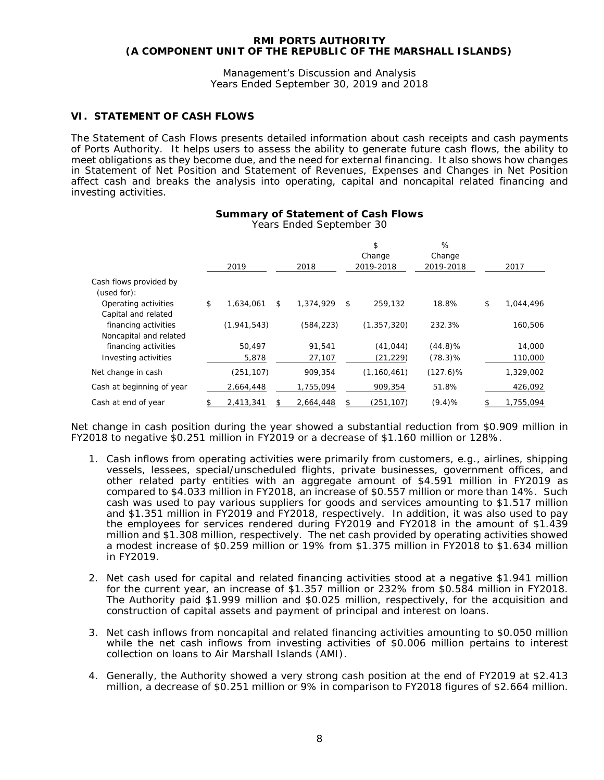Management's Discussion and Analysis Years Ended September 30, 2019 and 2018

# **VI. STATEMENT OF CASH FLOWS**

The Statement of Cash Flows presents detailed information about cash receipts and cash payments of Ports Authority. It helps users to assess the ability to generate future cash flows, the ability to meet obligations as they become due, and the need for external financing. It also shows how changes in Statement of Net Position and Statement of Revenues, Expenses and Changes in Net Position affect cash and breaks the analysis into operating, capital and noncapital related financing and investing activities.

|                                                | 2019            | 2018            | \$<br>Change<br>2019-2018 | %<br>Change<br>2019-2018 | 2017            |
|------------------------------------------------|-----------------|-----------------|---------------------------|--------------------------|-----------------|
| Cash flows provided by<br>(used for):          |                 |                 |                           |                          |                 |
| Operating activities<br>Capital and related    | \$<br>1,634,061 | \$<br>1,374,929 | \$<br>259,132             | 18.8%                    | \$<br>1,044,496 |
| financing activities<br>Noncapital and related | (1, 941, 543)   | (584, 223)      | (1, 357, 320)             | 232.3%                   | 160,506         |
| financing activities                           | 50,497          | 91.541          | (41, 044)                 | $(44.8)\%$               | 14,000          |
| Investing activities                           | 5,878           | 27,107          | (21, 229)                 | $(78.3)\%$               | 110,000         |
| Net change in cash                             | (251, 107)      | 909,354         | (1, 160, 461)             | $(127.6)\%$              | 1,329,002       |
| Cash at beginning of year                      | 2,664,448       | 1,755,094       | 909,354                   | 51.8%                    | 426,092         |
| Cash at end of year                            | 2,413,341       | 2,664,448       | (251,107)                 | (9.4)%                   | 1,755,094       |

#### **Summary of Statement of Cash Flows** Years Ended September 30

Net change in cash position during the year showed a substantial reduction from \$0.909 million in FY2018 to negative \$0.251 million in FY2019 or a decrease of \$1.160 million or 128%.

- 1. Cash inflows from operating activities were primarily from customers, e.g., airlines, shipping vessels, lessees, special/unscheduled flights, private businesses, government offices, and other related party entities with an aggregate amount of \$4.591 million in FY2019 as compared to \$4.033 million in FY2018, an increase of \$0.557 million or more than 14%. Such cash was used to pay various suppliers for goods and services amounting to \$1.517 million and \$1.351 million in FY2019 and FY2018, respectively. In addition, it was also used to pay the employees for services rendered during FY2019 and FY2018 in the amount of \$1.439 million and \$1.308 million, respectively. The net cash provided by operating activities showed a modest increase of \$0.259 million or 19% from \$1.375 million in FY2018 to \$1.634 million in FY2019.
- 2. Net cash used for capital and related financing activities stood at a negative \$1.941 million for the current year, an increase of \$1.357 million or 232% from \$0.584 million in FY2018. The Authority paid \$1.999 million and \$0.025 million, respectively, for the acquisition and construction of capital assets and payment of principal and interest on loans.
- 3. Net cash inflows from noncapital and related financing activities amounting to \$0.050 million while the net cash inflows from investing activities of \$0.006 million pertains to interest collection on loans to Air Marshall Islands (AMI).
- 4. Generally, the Authority showed a very strong cash position at the end of FY2019 at \$2.413 million, a decrease of \$0.251 million or 9% in comparison to FY2018 figures of \$2.664 million.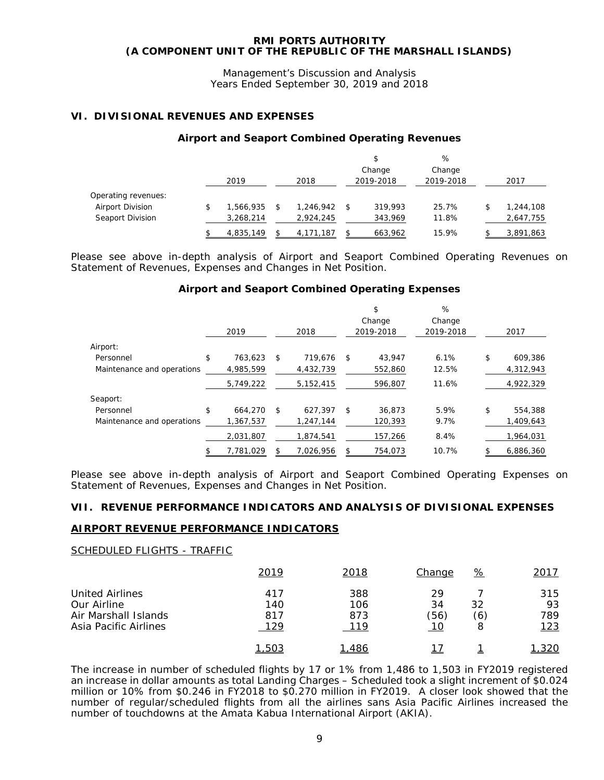Management's Discussion and Analysis Years Ended September 30, 2019 and 2018

# **VI. DIVISIONAL REVENUES AND EXPENSES**

# **Airport and Seaport Combined Operating Revenues**

|                     |           |           |               | %         |           |
|---------------------|-----------|-----------|---------------|-----------|-----------|
|                     |           |           | Change        | Change    |           |
|                     | 2019      | 2018      | 2019-2018     | 2019-2018 | 2017      |
| Operating revenues: |           |           |               |           |           |
| Airport Division    | 1,566,935 | 1,246,942 | \$<br>319,993 | 25.7%     | 1,244,108 |
| Seaport Division    | 3,268,214 | 2,924,245 | 343,969       | 11.8%     | 2,647,755 |
|                     | 4,835,149 | 4,171,187 | 663,962       | 15.9%     | 3,891,863 |

Please see above in-depth analysis of Airport and Seaport Combined Operating Revenues on Statement of Revenues, Expenses and Changes in Net Position.

# **Airport and Seaport Combined Operating Expenses**

|                            | 2019          | 2018          | \$<br>Change<br>2019-2018 | %<br>Change<br>2019-2018 | 2017          |
|----------------------------|---------------|---------------|---------------------------|--------------------------|---------------|
| Airport:                   |               |               |                           |                          |               |
| Personnel                  | \$<br>763.623 | \$<br>719.676 | \$<br>43.947              | 6.1%                     | \$<br>609,386 |
| Maintenance and operations | 4,985,599     | 4,432,739     | 552,860                   | 12.5%                    | 4,312,943     |
|                            | 5,749,222     | 5, 152, 415   | 596,807                   | 11.6%                    | 4,922,329     |
| Seaport:                   |               |               |                           |                          |               |
| Personnel                  | \$<br>664,270 | \$<br>627.397 | \$<br>36,873              | 5.9%                     | \$<br>554,388 |
| Maintenance and operations | 1,367,537     | 1,247,144     | 120,393                   | 9.7%                     | 1,409,643     |
|                            | 2,031,807     | 1,874,541     | 157,266                   | 8.4%                     | 1,964,031     |
|                            | 7,781,029     | 7,026,956     | 754,073                   | 10.7%                    | 6,886,360     |

Please see above in-depth analysis of Airport and Seaport Combined Operating Expenses on Statement of Revenues, Expenses and Changes in Net Position.

#### **VII. REVENUE PERFORMANCE INDICATORS AND ANALYSIS OF DIVISIONAL EXPENSES**

#### **AIRPORT REVENUE PERFORMANCE INDICATORS**

SCHEDULED FLIGHTS - TRAFFIC

|                       | 2019 | 2018 | Change     | $\frac{9}{6}$ | 2017 |
|-----------------------|------|------|------------|---------------|------|
| United Airlines       | 417  | 388  | 29         |               | 315  |
| Our Airline           | 140  | 106  | 34         | 32            | 93   |
| Air Marshall Islands  | 817  | 873  | (56)       | (6)           | 789  |
| Asia Pacific Airlines | 129  | 119  | <u> 10</u> | 8             | 123  |
|                       | ∴50. | .486 |            |               | ,320 |

The increase in number of scheduled flights by 17 or 1% from 1,486 to 1,503 in FY2019 registered an increase in dollar amounts as total Landing Charges – Scheduled took a slight increment of \$0.024 million or 10% from \$0.246 in FY2018 to \$0.270 million in FY2019. A closer look showed that the number of regular/scheduled flights from all the airlines sans Asia Pacific Airlines increased the number of touchdowns at the Amata Kabua International Airport (AKIA).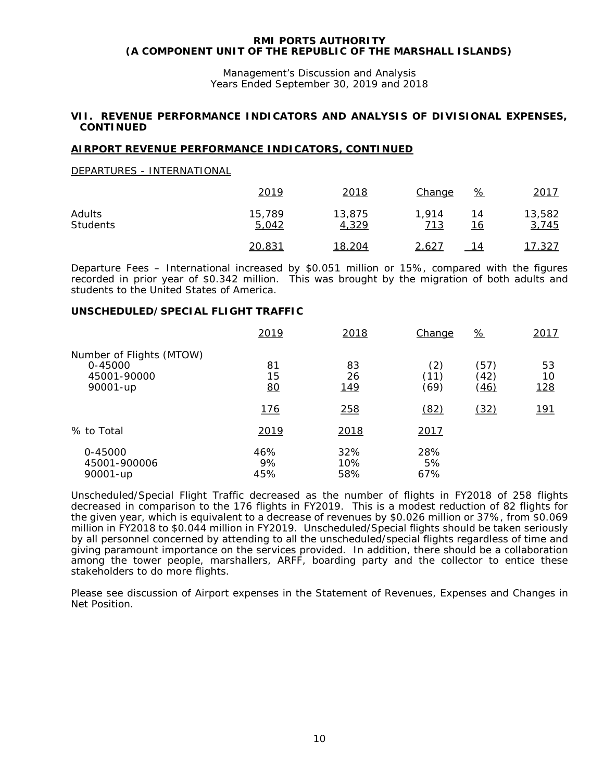Management's Discussion and Analysis Years Ended September 30, 2019 and 2018

# **VII. REVENUE PERFORMANCE INDICATORS AND ANALYSIS OF DIVISIONAL EXPENSES, CONTINUED**

# **AIRPORT REVENUE PERFORMANCE INDICATORS, CONTINUED**

# DEPARTURES - INTERNATIONAL

|                           | 2019            | 2018            | Change              | $\frac{9}{6}$    | <u> 2017 </u>   |
|---------------------------|-----------------|-----------------|---------------------|------------------|-----------------|
| Adults<br><b>Students</b> | 15,789<br>5,042 | 13,875<br>4,329 | 1.914<br><u>713</u> | 14<br><u> 16</u> | 13,582<br>3,745 |
|                           | 20,831          | 18,204          | 2,627               | <u> 14</u>       | 17,327          |

Departure Fees – International increased by \$0.051 million or 15%, compared with the figures recorded in prior year of \$0.342 million. This was brought by the migration of both adults and students to the United States of America.

# **UNSCHEDULED/SPECIAL FLIGHT TRAFFIC**

|                                                                | 2019             | 2018              | Change              | $\frac{9}{6}$               | 2017                   |
|----------------------------------------------------------------|------------------|-------------------|---------------------|-----------------------------|------------------------|
| Number of Flights (MTOW)<br>0-45000<br>45001-90000<br>90001-up | 81<br>15<br>80   | 83<br>26<br>149   | (2)<br>(11)<br>(69) | (57)<br>(42)<br><u>(46)</u> | 53<br>10<br><u>128</u> |
|                                                                | 176              | 258               | (82)                | (32)                        | 191                    |
| % to Total                                                     | 2019             | 2018              | 2017                |                             |                        |
| 0-45000<br>45001-900006<br>90001-up                            | 46%<br>9%<br>45% | 32%<br>10%<br>58% | 28%<br>5%<br>67%    |                             |                        |

Unscheduled/Special Flight Traffic decreased as the number of flights in FY2018 of 258 flights decreased in comparison to the 176 flights in FY2019. This is a modest reduction of 82 flights for the given year, which is equivalent to a decrease of revenues by \$0.026 million or 37%, from \$0.069 million in FY2018 to \$0.044 million in FY2019. Unscheduled/Special flights should be taken seriously by all personnel concerned by attending to all the unscheduled/special flights regardless of time and giving paramount importance on the services provided. In addition, there should be a collaboration among the tower people, marshallers, ARFF, boarding party and the collector to entice these stakeholders to do more flights.

Please see discussion of Airport expenses in the Statement of Revenues, Expenses and Changes in Net Position.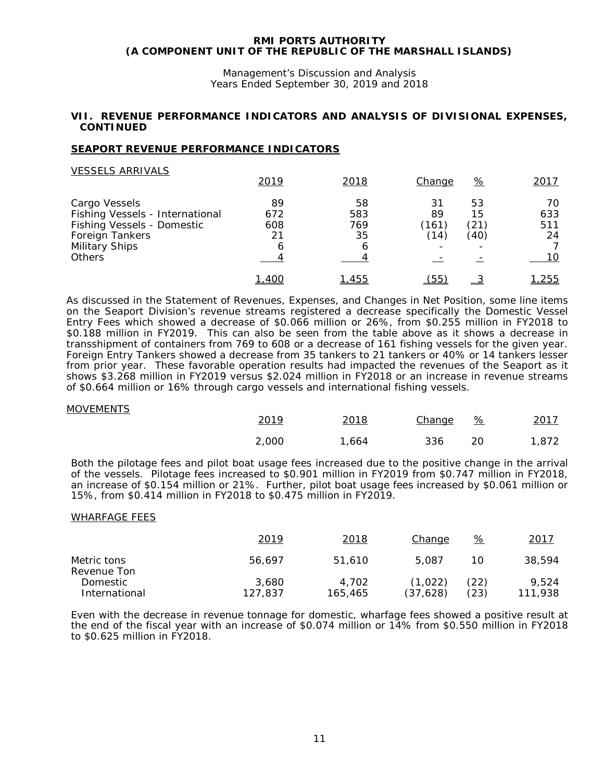Management's Discussion and Analysis Years Ended September 30, 2019 and 2018

# **VII. REVENUE PERFORMANCE INDICATORS AND ANALYSIS OF DIVISIONAL EXPENSES, CONTINUED**

# **SEAPORT REVENUE PERFORMANCE INDICATORS**

| VESSELS ARRIVALS                                                                                                                     | 2019                        | 2018                        | Change                                       | $\frac{9}{6}$            | 2017                         |
|--------------------------------------------------------------------------------------------------------------------------------------|-----------------------------|-----------------------------|----------------------------------------------|--------------------------|------------------------------|
| Cargo Vessels<br>Fishing Vessels - International<br>Fishing Vessels - Domestic<br>Foreign Tankers<br><b>Military Ships</b><br>Others | 89<br>672<br>608<br>21<br>6 | 58<br>583<br>769<br>35<br>6 | 31<br>89<br>(161)<br>(14)<br>$\qquad \qquad$ | 53<br>15<br>(21)<br>(40) | 70<br>633<br>511<br>24<br>10 |
|                                                                                                                                      | ',40C                       | 455, ا                      | (55)                                         |                          | <u>,255</u>                  |

As discussed in the Statement of Revenues, Expenses, and Changes in Net Position, some line items on the Seaport Division's revenue streams registered a decrease specifically the Domestic Vessel Entry Fees which showed a decrease of \$0.066 million or 26%, from \$0.255 million in FY2018 to \$0.188 million in FY2019. This can also be seen from the table above as it shows a decrease in transshipment of containers from 769 to 608 or a decrease of 161 fishing vessels for the given year. Foreign Entry Tankers showed a decrease from 35 tankers to 21 tankers or 40% or 14 tankers lesser from prior year. These favorable operation results had impacted the revenues of the Seaport as it shows \$3.268 million in FY2019 versus \$2.024 million in FY2018 or an increase in revenue streams of \$0.664 million or 16% through cargo vessels and international fishing vessels.

#### **MOVEMENTS**

 $V_{\text{F}}$ 

| 2019  | 2018  | <u>Change</u> | <u>%</u> | 2017  |
|-------|-------|---------------|----------|-------|
| 2,000 | 1,664 | 336           | 20       | 1.872 |

Both the pilotage fees and pilot boat usage fees increased due to the positive change in the arrival of the vessels. Pilotage fees increased to \$0.901 million in FY2019 from \$0.747 million in FY2018, an increase of \$0.154 million or 21%. Further, pilot boat usage fees increased by \$0.061 million or 15%, from \$0.414 million in FY2018 to \$0.475 million in FY2019.

#### WHARFAGE FEES

|                            | 2019    | 2018    | Change    | <u>%</u> | 2017    |
|----------------------------|---------|---------|-----------|----------|---------|
| Metric tons<br>Revenue Ton | 56.697  | 51,610  | 5,087     | 10       | 38,594  |
| Domestic                   | 3,680   | 4.702   | (1.022)   | (22)     | 9.524   |
| International              | 127,837 | 165,465 | (37, 628) | (23)     | 111,938 |

Even with the decrease in revenue tonnage for domestic, wharfage fees showed a positive result at the end of the fiscal year with an increase of \$0.074 million or 14% from \$0.550 million in FY2018 to \$0.625 million in FY2018.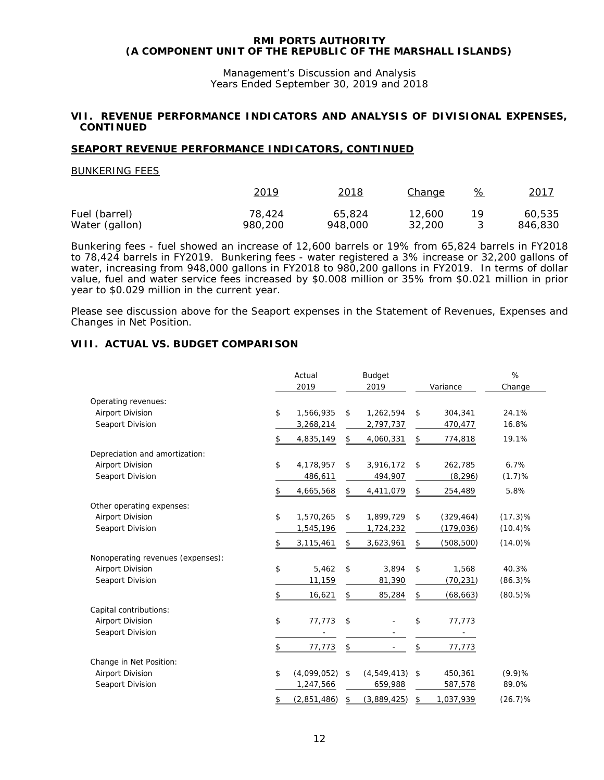Management's Discussion and Analysis Years Ended September 30, 2019 and 2018

# **VII. REVENUE PERFORMANCE INDICATORS AND ANALYSIS OF DIVISIONAL EXPENSES, CONTINUED**

# **SEAPORT REVENUE PERFORMANCE INDICATORS, CONTINUED**

#### BUNKERING FEES

|                | 2019    | 2018    | Change | $\frac{9}{6}$ | <u> 2017</u> |
|----------------|---------|---------|--------|---------------|--------------|
| Fuel (barrel)  | 78.424  | 65.824  | 12,600 | 19            | 60,535       |
| Water (gallon) | 980,200 | 948,000 | 32,200 |               | 846,830      |

Bunkering fees - fuel showed an increase of 12,600 barrels or 19% from 65,824 barrels in FY2018 to 78,424 barrels in FY2019. Bunkering fees - water registered a 3% increase or 32,200 gallons of water, increasing from 948,000 gallons in FY2018 to 980,200 gallons in FY2019. In terms of dollar value, fuel and water service fees increased by \$0.008 million or 35% from \$0.021 million in prior year to \$0.029 million in the current year.

Please see discussion above for the Seaport expenses in the Statement of Revenues, Expenses and Changes in Net Position.

# **VIII. ACTUAL VS. BUDGET COMPARISON**

|                                                             | Actual<br>2019                 | <b>Budget</b><br>2019        | Variance                      | %<br>Change              |
|-------------------------------------------------------------|--------------------------------|------------------------------|-------------------------------|--------------------------|
|                                                             |                                |                              |                               |                          |
| Operating revenues:<br>Airport Division<br>Seaport Division | \$<br>1,566,935<br>3,268,214   | \$<br>1,262,594<br>2,797,737 | \$<br>304,341<br>470,477      | 24.1%<br>16.8%           |
|                                                             | \$<br>4,835,149                | \$<br>4,060,331              | \$<br>774,818                 | 19.1%                    |
| Depreciation and amortization:                              |                                |                              |                               |                          |
| Airport Division<br>Seaport Division                        | \$<br>4,178,957<br>486,611     | \$<br>3,916,172<br>494,907   | \$<br>262,785<br>(8, 296)     | 6.7%<br>(1.7)%           |
|                                                             | 4,665,568                      | \$<br>4,411,079              | \$<br>254,489                 | 5.8%                     |
| Other operating expenses:                                   |                                |                              |                               |                          |
| Airport Division<br>Seaport Division                        | \$<br>1,570,265<br>1,545,196   | \$<br>1,899,729<br>1,724,232 | \$<br>(329, 464)<br>(179,036) | $(17.3)\%$<br>$(10.4)\%$ |
|                                                             | \$<br>3, 115, 461              | \$<br>3,623,961              | \$<br>(508, 500)              | $(14.0)\%$               |
| Nonoperating revenues (expenses):                           |                                |                              |                               |                          |
| Airport Division<br>Seaport Division                        | \$<br>5,462<br>11,159          | \$<br>3,894<br>81,390        | \$<br>1,568<br>(70, 231)      | 40.3%<br>$(86.3)\%$      |
|                                                             | \$<br>16,621                   | \$<br>85,284                 | \$<br>(68, 663)               | $(80.5)\%$               |
| Capital contributions:                                      |                                |                              |                               |                          |
| Airport Division<br>Seaport Division                        | \$<br>77,773                   | \$                           | \$<br>77,773                  |                          |
|                                                             | \$<br>77,773                   | \$                           | \$<br>77,773                  |                          |
| Change in Net Position:                                     |                                |                              |                               |                          |
| Airport Division<br>Seaport Division                        | \$<br>(4,099,052)<br>1,247,566 | \$<br>(4,549,413)<br>659,988 | \$<br>450,361<br>587,578      | (9.9)%<br>89.0%          |
|                                                             | \$<br>(2,851,486)              | \$<br>(3,889,425)            | \$<br>1,037,939               | $(26.7)\%$               |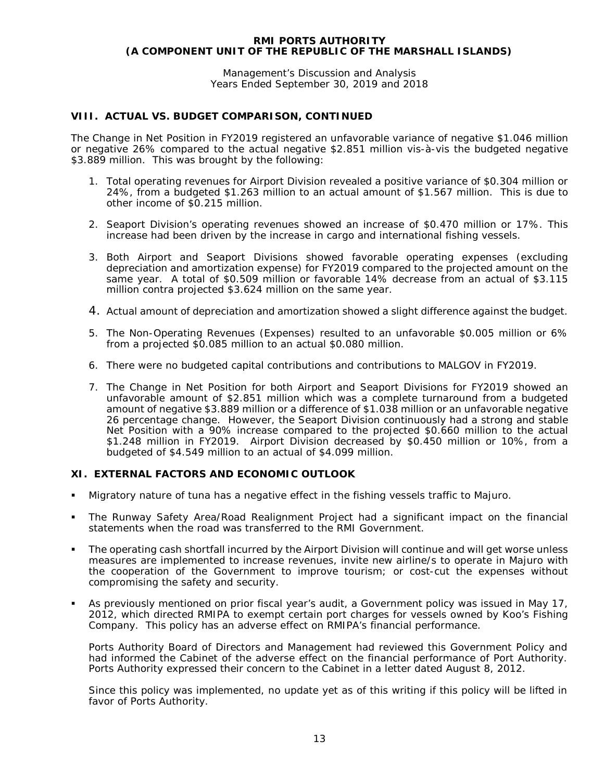Management's Discussion and Analysis Years Ended September 30, 2019 and 2018

# **VIII. ACTUAL VS. BUDGET COMPARISON, CONTINUED**

The Change in Net Position in FY2019 registered an unfavorable variance of negative \$1.046 million or negative 26% compared to the actual negative \$2.851 million vis-à-vis the budgeted negative \$3.889 million. This was brought by the following:

- 1. Total operating revenues for Airport Division revealed a positive variance of \$0.304 million or 24%, from a budgeted \$1.263 million to an actual amount of \$1.567 million. This is due to other income of \$0.215 million.
- 2. Seaport Division's operating revenues showed an increase of \$0.470 million or 17%. This increase had been driven by the increase in cargo and international fishing vessels.
- 3. Both Airport and Seaport Divisions showed favorable operating expenses (excluding depreciation and amortization expense) for FY2019 compared to the projected amount on the same year. A total of \$0.509 million or favorable 14% decrease from an actual of \$3.115 million contra projected \$3.624 million on the same year.
- 4. Actual amount of depreciation and amortization showed a slight difference against the budget.
- 5. The Non-Operating Revenues (Expenses) resulted to an unfavorable \$0.005 million or 6% from a projected \$0.085 million to an actual \$0.080 million.
- 6. There were no budgeted capital contributions and contributions to MALGOV in FY2019.
- 7. The Change in Net Position for both Airport and Seaport Divisions for FY2019 showed an unfavorable amount of \$2.851 million which was a complete turnaround from a budgeted amount of negative \$3.889 million or a difference of \$1.038 million or an unfavorable negative 26 percentage change. However, the Seaport Division continuously had a strong and stable Net Position with a 90% increase compared to the projected \$0.660 million to the actual \$1.248 million in FY2019. Airport Division decreased by \$0.450 million or 10%, from a budgeted of \$4.549 million to an actual of \$4.099 million.

# **XI. EXTERNAL FACTORS AND ECONOMIC OUTLOOK**

- Migratory nature of tuna has a negative effect in the fishing vessels traffic to Majuro.
- The Runway Safety Area/Road Realignment Project had a significant impact on the financial statements when the road was transferred to the RMI Government.
- The operating cash shortfall incurred by the Airport Division will continue and will get worse unless measures are implemented to increase revenues, invite new airline/s to operate in Majuro with the cooperation of the Government to improve tourism; or cost-cut the expenses without compromising the safety and security.
- As previously mentioned on prior fiscal year's audit, a Government policy was issued in May 17, 2012, which directed RMIPA to exempt certain port charges for vessels owned by Koo's Fishing Company. This policy has an adverse effect on RMIPA's financial performance.

Ports Authority Board of Directors and Management had reviewed this Government Policy and had informed the Cabinet of the adverse effect on the financial performance of Port Authority. Ports Authority expressed their concern to the Cabinet in a letter dated August 8, 2012.

Since this policy was implemented, no update yet as of this writing if this policy will be lifted in favor of Ports Authority.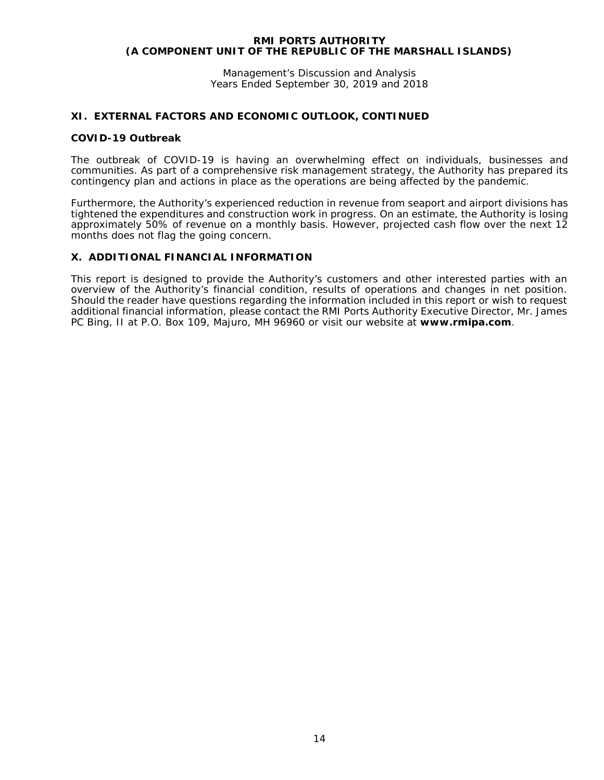Management's Discussion and Analysis Years Ended September 30, 2019 and 2018

# **XI. EXTERNAL FACTORS AND ECONOMIC OUTLOOK, CONTINUED**

# **COVID-19 Outbreak**

The outbreak of COVID-19 is having an overwhelming effect on individuals, businesses and communities. As part of a comprehensive risk management strategy, the Authority has prepared its contingency plan and actions in place as the operations are being affected by the pandemic.

Furthermore, the Authority's experienced reduction in revenue from seaport and airport divisions has tightened the expenditures and construction work in progress. On an estimate, the Authority is losing approximately 50% of revenue on a monthly basis. However, projected cash flow over the next 12 months does not flag the going concern.

# **X. ADDITIONAL FINANCIAL INFORMATION**

This report is designed to provide the Authority's customers and other interested parties with an overview of the Authority's financial condition, results of operations and changes in net position. Should the reader have questions regarding the information included in this report or wish to request additional financial information, please contact the RMI Ports Authority Executive Director, Mr. James PC Bing, II at P.O. Box 109, Majuro, MH 96960 or visit our website at **www.rmipa.com**.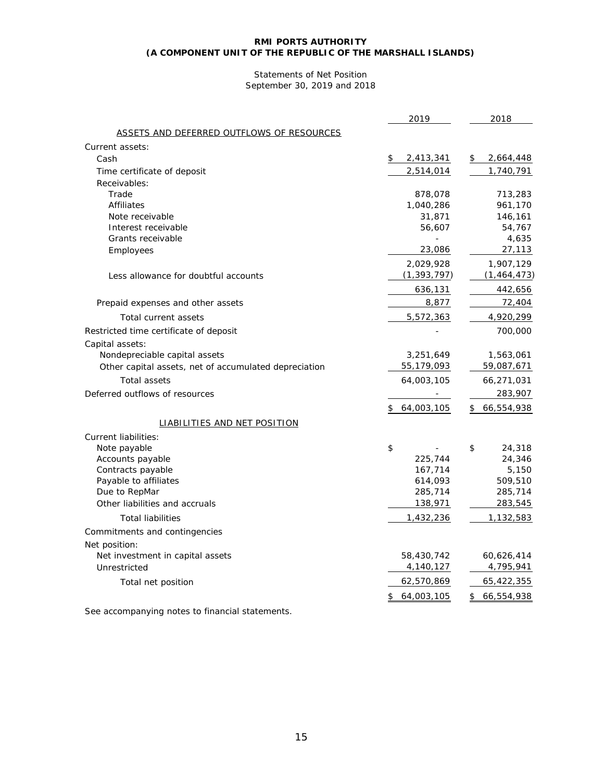# Statements of Net Position September 30, 2019 and 2018

|                                                       | 2019             | 2018            |
|-------------------------------------------------------|------------------|-----------------|
| ASSETS AND DEFERRED OUTFLOWS OF RESOURCES             |                  |                 |
| Current assets:                                       |                  |                 |
| Cash                                                  | \$<br>2,413,341  | \$<br>2,664,448 |
| Time certificate of deposit                           | 2,514,014        | 1,740,791       |
| Receivables:                                          |                  |                 |
| Trade                                                 | 878,078          | 713,283         |
| Affiliates                                            | 1,040,286        | 961,170         |
| Note receivable                                       | 31,871           | 146,161         |
| Interest receivable                                   | 56,607           | 54,767          |
| Grants receivable                                     |                  | 4,635           |
| Employees                                             | 23,086           | 27,113          |
|                                                       | 2,029,928        | 1,907,129       |
| Less allowance for doubtful accounts                  | (1, 393, 797)    | (1, 464, 473)   |
|                                                       | 636,131          | 442,656         |
| Prepaid expenses and other assets                     | 8,877            | 72,404          |
| Total current assets                                  | 5,572,363        | 4,920,299       |
| Restricted time certificate of deposit                |                  | 700,000         |
| Capital assets:                                       |                  |                 |
| Nondepreciable capital assets                         | 3,251,649        | 1,563,061       |
| Other capital assets, net of accumulated depreciation | 55,179,093       | 59,087,671      |
| <b>Total assets</b>                                   | 64,003,105       | 66,271,031      |
| Deferred outflows of resources                        |                  | 283,907         |
|                                                       | \$<br>64,003,105 | \$66,554,938    |
| <b>LIABILITIES AND NET POSITION</b>                   |                  |                 |
| Current liabilities:                                  |                  |                 |
| Note payable                                          | \$               | \$<br>24,318    |
| Accounts payable                                      | 225,744          | 24,346          |
| Contracts payable                                     | 167,714          | 5,150           |
| Payable to affiliates                                 | 614,093          | 509,510         |
| Due to RepMar                                         | 285,714          | 285,714         |
| Other liabilities and accruals                        | 138,971          | 283,545         |
| <b>Total liabilities</b>                              | 1,432,236        | 1,132,583       |
| Commitments and contingencies                         |                  |                 |
| Net position:                                         |                  |                 |
| Net investment in capital assets                      | 58,430,742       | 60,626,414      |
| Unrestricted                                          | 4,140,127        | 4,795,941       |
| Total net position                                    | 62,570,869       | 65,422,355      |
|                                                       | \$<br>64,003,105 | \$66,554,938    |
|                                                       |                  |                 |

See accompanying notes to financial statements.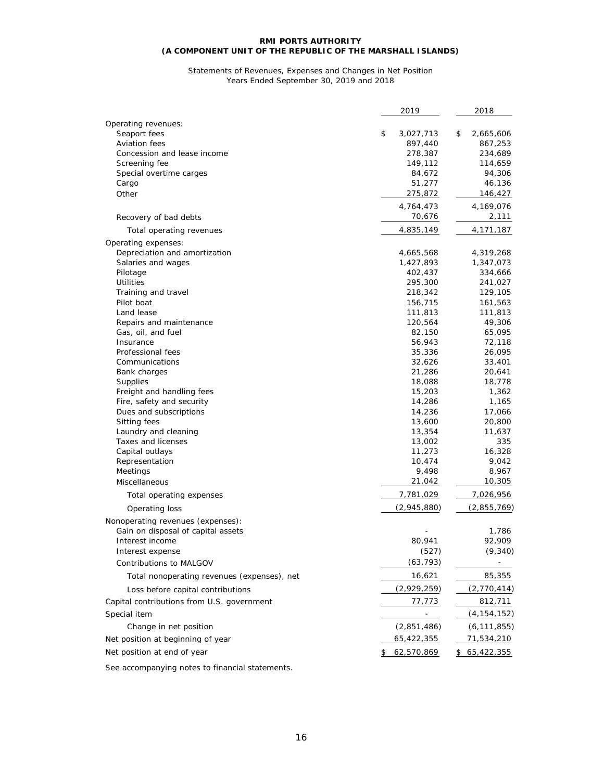#### Statements of Revenues, Expenses and Changes in Net Position Years Ended September 30, 2019 and 2018

|                                             | 2019             | 2018                     |
|---------------------------------------------|------------------|--------------------------|
| Operating revenues:                         |                  |                          |
| Seaport fees                                | \$<br>3,027,713  | \$<br>2,665,606          |
| <b>Aviation fees</b>                        | 897,440          | 867,253                  |
| Concession and lease income                 | 278,387          | 234,689                  |
| Screening fee                               | 149,112          | 114,659                  |
| Special overtime carges                     | 84,672           | 94,306                   |
| Cargo                                       | 51,277           | 46,136                   |
| Other                                       | 275,872          | 146,427                  |
|                                             | 4,764,473        | 4,169,076                |
| Recovery of bad debts                       | 70,676           | 2,111                    |
| Total operating revenues                    | 4,835,149        | 4, 171, 187              |
| Operating expenses:                         |                  |                          |
| Depreciation and amortization               | 4,665,568        | 4,319,268                |
| Salaries and wages                          | 1,427,893        | 1,347,073                |
| Pilotage                                    | 402,437          | 334,666                  |
| Utilities                                   | 295,300          | 241,027                  |
| Training and travel                         | 218,342          | 129,105                  |
| Pilot boat                                  | 156,715          | 161,563                  |
| Land lease                                  | 111,813          | 111,813                  |
| Repairs and maintenance                     | 120,564          | 49,306                   |
| Gas, oil, and fuel                          | 82,150           | 65,095                   |
| Insurance                                   | 56,943           | 72,118                   |
| Professional fees                           | 35,336           | 26,095                   |
| Communications                              | 32,626           | 33,401                   |
| Bank charges                                | 21,286           | 20,641                   |
| Supplies                                    | 18,088           | 18,778                   |
| Freight and handling fees                   | 15,203           | 1,362                    |
| Fire, safety and security                   | 14,286           | 1,165                    |
| Dues and subscriptions                      | 14,236           | 17,066                   |
| Sitting fees                                | 13,600           | 20,800                   |
| Laundry and cleaning                        | 13,354           | 11,637                   |
| Taxes and licenses                          | 13,002           | 335                      |
| Capital outlays                             | 11,273           | 16,328                   |
| Representation                              | 10,474           | 9,042                    |
| Meetings                                    | 9,498            | 8,967                    |
| Miscellaneous                               | 21,042           | 10,305                   |
| Total operating expenses                    | 7,781,029        | 7,026,956                |
| Operating loss                              | (2,945,880)      | (2,855,769)              |
| Nonoperating revenues (expenses):           |                  |                          |
| Gain on disposal of capital assets          |                  | 1,786                    |
| Interest income                             | 80,941           | 92,909                   |
| Interest expense                            | (527)            | (9, 340)                 |
| Contributions to MALGOV                     | (63, 793)        | $\overline{\phantom{a}}$ |
| Total nonoperating revenues (expenses), net | 16,621           | 85,355                   |
| Loss before capital contributions           | (2,929,259)      | (2,770,414)              |
| Capital contributions from U.S. government  | 77,773           | 812,711                  |
| Special item                                |                  | (4, 154, 152)            |
| Change in net position                      | (2,851,486)      | (6, 111, 855)            |
| Net position at beginning of year           | 65,422,355       | <u>71,534,210</u>        |
| Net position at end of year                 | 62,570,869<br>\$ | \$65,422,355             |
|                                             |                  |                          |

See accompanying notes to financial statements.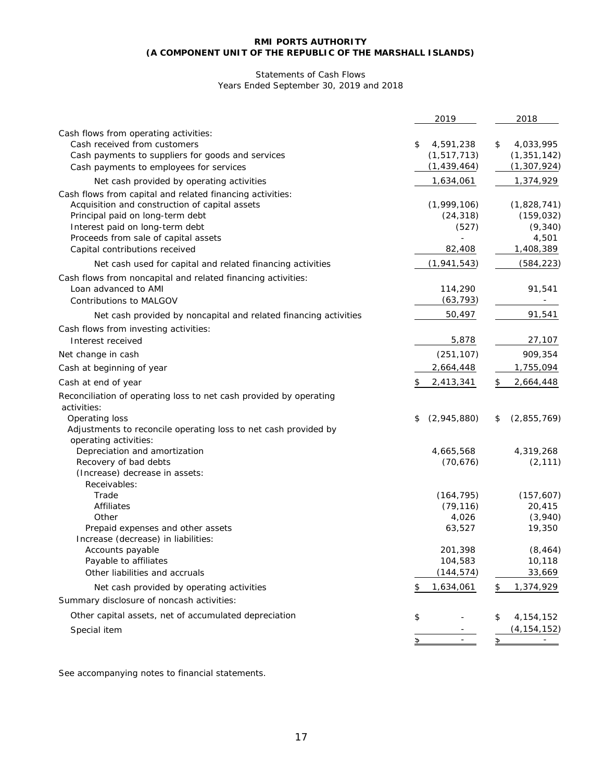# Statements of Cash Flows Years Ended September 30, 2019 and 2018

|                                                                    | 2019               | 2018              |
|--------------------------------------------------------------------|--------------------|-------------------|
| Cash flows from operating activities:                              |                    |                   |
| Cash received from customers                                       | 4,591,238<br>\$    | \$<br>4,033,995   |
| Cash payments to suppliers for goods and services                  | (1, 517, 713)      | (1, 351, 142)     |
| Cash payments to employees for services                            | (1, 439, 464)      | (1, 307, 924)     |
| Net cash provided by operating activities                          | 1,634,061          | 1,374,929         |
| Cash flows from capital and related financing activities:          |                    |                   |
| Acquisition and construction of capital assets                     | (1,999,106)        | (1,828,741)       |
| Principal paid on long-term debt                                   | (24, 318)          | (159, 032)        |
| Interest paid on long-term debt                                    | (527)              | (9, 340)          |
| Proceeds from sale of capital assets                               |                    | 4,501             |
| Capital contributions received                                     | 82,408             | 1,408,389         |
| Net cash used for capital and related financing activities         | (1, 941, 543)      | (584, 223)        |
| Cash flows from noncapital and related financing activities:       |                    |                   |
| Loan advanced to AMI                                               | 114,290            | 91,541            |
| Contributions to MALGOV                                            | (63, 793)          |                   |
| Net cash provided by noncapital and related financing activities   | 50,497             | 91,541            |
| Cash flows from investing activities:                              |                    |                   |
| Interest received                                                  | 5,878              | 27,107            |
| Net change in cash                                                 | (251, 107)         | 909,354           |
| Cash at beginning of year                                          | 2,664,448          | 1,755,094         |
| Cash at end of year                                                | 2,413,341<br>\$    | 2,664,448<br>\$   |
| Reconciliation of operating loss to net cash provided by operating |                    |                   |
| activities:                                                        |                    |                   |
| Operating loss                                                     | (2,945,880)<br>\$  | (2,855,769)<br>\$ |
| Adjustments to reconcile operating loss to net cash provided by    |                    |                   |
| operating activities:                                              |                    |                   |
| Depreciation and amortization                                      | 4,665,568          | 4,319,268         |
| Recovery of bad debts                                              | (70, 676)          | (2, 111)          |
| (Increase) decrease in assets:                                     |                    |                   |
| Receivables:                                                       |                    |                   |
| Trade<br>Affiliates                                                | (164, 795)         | (157, 607)        |
| Other                                                              | (79, 116)<br>4,026 | 20,415<br>(3,940) |
| Prepaid expenses and other assets                                  | 63,527             | 19,350            |
| Increase (decrease) in liabilities:                                |                    |                   |
| Accounts payable                                                   | 201,398            | (8, 464)          |
| Payable to affiliates                                              | 104,583            | 10,118            |
| Other liabilities and accruals                                     | (144, 574)         | 33,669            |
| Net cash provided by operating activities                          | 1,634,061<br>\$    | 1,374,929<br>\$   |
| Summary disclosure of noncash activities:                          |                    |                   |
| Other capital assets, net of accumulated depreciation              | \$                 | 4,154,152<br>\$   |
| Special item                                                       |                    | (4, 154, 152)     |
|                                                                    | ¢                  | Φ                 |

See accompanying notes to financial statements.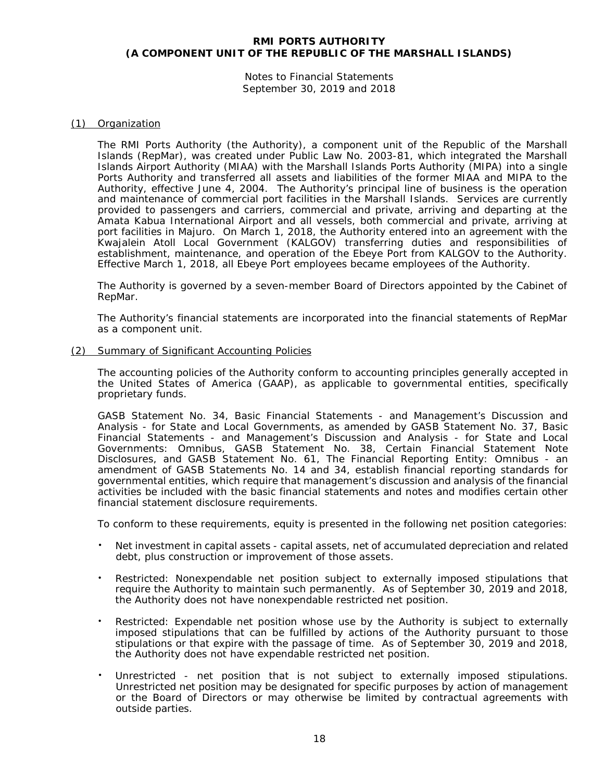Notes to Financial Statements September 30, 2019 and 2018

# (1) Organization

The RMI Ports Authority (the Authority), a component unit of the Republic of the Marshall Islands (RepMar), was created under Public Law No. 2003-81, which integrated the Marshall Islands Airport Authority (MIAA) with the Marshall Islands Ports Authority (MIPA) into a single Ports Authority and transferred all assets and liabilities of the former MIAA and MIPA to the Authority, effective June 4, 2004. The Authority's principal line of business is the operation and maintenance of commercial port facilities in the Marshall Islands. Services are currently provided to passengers and carriers, commercial and private, arriving and departing at the Amata Kabua International Airport and all vessels, both commercial and private, arriving at port facilities in Majuro. On March 1, 2018, the Authority entered into an agreement with the Kwajalein Atoll Local Government (KALGOV) transferring duties and responsibilities of establishment, maintenance, and operation of the Ebeye Port from KALGOV to the Authority. Effective March 1, 2018, all Ebeye Port employees became employees of the Authority.

The Authority is governed by a seven-member Board of Directors appointed by the Cabinet of RepMar.

The Authority's financial statements are incorporated into the financial statements of RepMar as a component unit.

# (2) Summary of Significant Accounting Policies

The accounting policies of the Authority conform to accounting principles generally accepted in the United States of America (GAAP), as applicable to governmental entities, specifically proprietary funds.

GASB Statement No. 34, *Basic Financial Statements - and Management's Discussion and Analysis - for State and Local Governments*, as amended by GASB Statement No. 37, *Basic Financial Statements - and Management's Discussion and Analysis - for State and Local Governments: Omnibus*, GASB Statement No. 38, *Certain Financial Statement Note Disclosures*, and GASB Statement No. 61, *The Financial Reporting Entity: Omnibus - an amendment of GASB Statements No. 14 and 34,* establish financial reporting standards for governmental entities, which require that management's discussion and analysis of the financial activities be included with the basic financial statements and notes and modifies certain other financial statement disclosure requirements.

To conform to these requirements, equity is presented in the following net position categories:

- Net investment in capital assets capital assets, net of accumulated depreciation and related debt, plus construction or improvement of those assets.
- Restricted: Nonexpendable net position subject to externally imposed stipulations that require the Authority to maintain such permanently. As of September 30, 2019 and 2018, the Authority does not have nonexpendable restricted net position.
- Restricted: Expendable net position whose use by the Authority is subject to externally imposed stipulations that can be fulfilled by actions of the Authority pursuant to those stipulations or that expire with the passage of time. As of September 30, 2019 and 2018, the Authority does not have expendable restricted net position.
- Unrestricted net position that is not subject to externally imposed stipulations. Unrestricted net position may be designated for specific purposes by action of management or the Board of Directors or may otherwise be limited by contractual agreements with outside parties.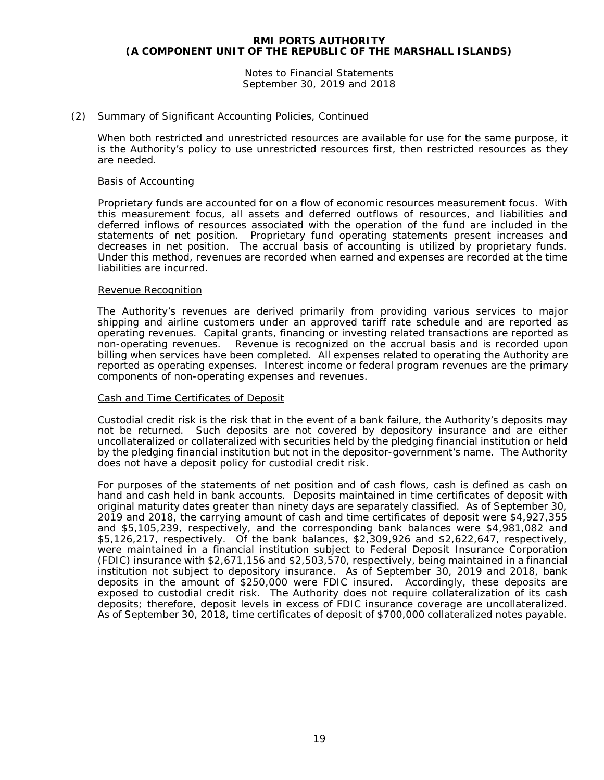Notes to Financial Statements September 30, 2019 and 2018

# (2) Summary of Significant Accounting Policies, Continued

When both restricted and unrestricted resources are available for use for the same purpose, it is the Authority's policy to use unrestricted resources first, then restricted resources as they are needed.

### Basis of Accounting

Proprietary funds are accounted for on a flow of economic resources measurement focus. With this measurement focus, all assets and deferred outflows of resources, and liabilities and deferred inflows of resources associated with the operation of the fund are included in the statements of net position. Proprietary fund operating statements present increases and decreases in net position. The accrual basis of accounting is utilized by proprietary funds. Under this method, revenues are recorded when earned and expenses are recorded at the time liabilities are incurred.

# Revenue Recognition

The Authority's revenues are derived primarily from providing various services to major shipping and airline customers under an approved tariff rate schedule and are reported as operating revenues. Capital grants, financing or investing related transactions are reported as non-operating revenues. Revenue is recognized on the accrual basis and is recorded upon billing when services have been completed. All expenses related to operating the Authority are reported as operating expenses. Interest income or federal program revenues are the primary components of non-operating expenses and revenues.

#### Cash and Time Certificates of Deposit

Custodial credit risk is the risk that in the event of a bank failure, the Authority's deposits may not be returned. Such deposits are not covered by depository insurance and are either uncollateralized or collateralized with securities held by the pledging financial institution or held by the pledging financial institution but not in the depositor-government's name. The Authority does not have a deposit policy for custodial credit risk.

For purposes of the statements of net position and of cash flows, cash is defined as cash on hand and cash held in bank accounts. Deposits maintained in time certificates of deposit with original maturity dates greater than ninety days are separately classified. As of September 30, 2019 and 2018, the carrying amount of cash and time certificates of deposit were \$4,927,355 and \$5,105,239, respectively, and the corresponding bank balances were \$4,981,082 and \$5,126,217, respectively. Of the bank balances, \$2,309,926 and \$2,622,647, respectively, were maintained in a financial institution subject to Federal Deposit Insurance Corporation (FDIC) insurance with \$2,671,156 and \$2,503,570, respectively, being maintained in a financial institution not subject to depository insurance. As of September 30, 2019 and 2018, bank deposits in the amount of \$250,000 were FDIC insured. Accordingly, these deposits are exposed to custodial credit risk. The Authority does not require collateralization of its cash deposits; therefore, deposit levels in excess of FDIC insurance coverage are uncollateralized. As of September 30, 2018, time certificates of deposit of \$700,000 collateralized notes payable.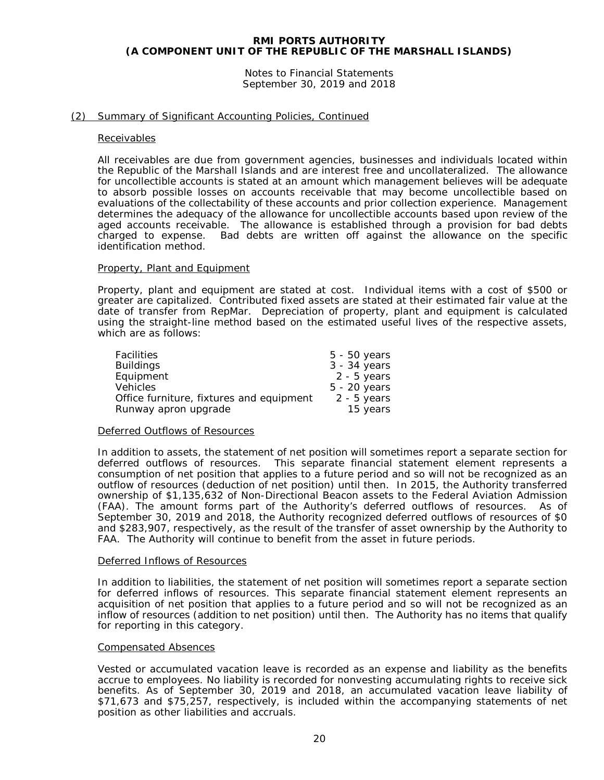Notes to Financial Statements September 30, 2019 and 2018

# (2) Summary of Significant Accounting Policies, Continued

# Receivables

All receivables are due from government agencies, businesses and individuals located within the Republic of the Marshall Islands and are interest free and uncollateralized. The allowance for uncollectible accounts is stated at an amount which management believes will be adequate to absorb possible losses on accounts receivable that may become uncollectible based on evaluations of the collectability of these accounts and prior collection experience. Management determines the adequacy of the allowance for uncollectible accounts based upon review of the aged accounts receivable. The allowance is established through a provision for bad debts charged to expense. Bad debts are written off against the allowance on the specific Bad debts are written off against the allowance on the specific identification method.

# Property, Plant and Equipment

Property, plant and equipment are stated at cost. Individual items with a cost of \$500 or greater are capitalized. Contributed fixed assets are stated at their estimated fair value at the date of transfer from RepMar. Depreciation of property, plant and equipment is calculated using the straight-line method based on the estimated useful lives of the respective assets, which are as follows:

| Facilities                               | 5 - 50 years  |
|------------------------------------------|---------------|
| <b>Buildings</b>                         | 3 - 34 years  |
| Equipment                                | $2 - 5$ years |
| <b>Vehicles</b>                          | 5 - 20 years  |
| Office furniture, fixtures and equipment | $2 - 5$ years |
| Runway apron upgrade                     | 15 years      |

#### Deferred Outflows of Resources

In addition to assets, the statement of net position will sometimes report a separate section for deferred outflows of resources. This separate financial statement element represents a consumption of net position that applies to a future period and so will not be recognized as an outflow of resources (deduction of net position) until then. In 2015, the Authority transferred ownership of \$1,135,632 of Non-Directional Beacon assets to the Federal Aviation Admission (FAA). The amount forms part of the Authority's deferred outflows of resources. As of September 30, 2019 and 2018, the Authority recognized deferred outflows of resources of \$0 and \$283,907, respectively, as the result of the transfer of asset ownership by the Authority to FAA. The Authority will continue to benefit from the asset in future periods.

#### Deferred Inflows of Resources

In addition to liabilities, the statement of net position will sometimes report a separate section for deferred inflows of resources. This separate financial statement element represents an acquisition of net position that applies to a future period and so will not be recognized as an inflow of resources (addition to net position) until then. The Authority has no items that qualify for reporting in this category.

# Compensated Absences

Vested or accumulated vacation leave is recorded as an expense and liability as the benefits accrue to employees. No liability is recorded for nonvesting accumulating rights to receive sick benefits. As of September 30, 2019 and 2018, an accumulated vacation leave liability of \$71,673 and \$75,257, respectively, is included within the accompanying statements of net position as other liabilities and accruals.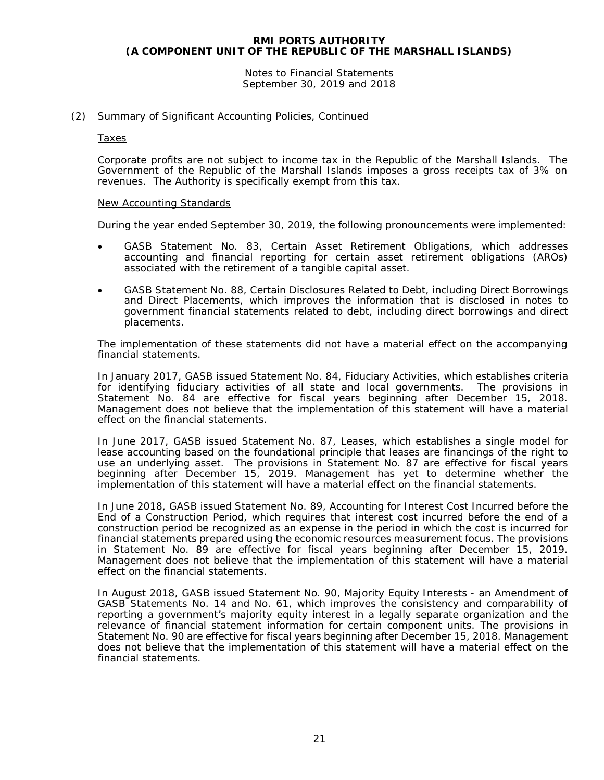Notes to Financial Statements September 30, 2019 and 2018

# (2) Summary of Significant Accounting Policies, Continued

Taxes

Corporate profits are not subject to income tax in the Republic of the Marshall Islands. The Government of the Republic of the Marshall Islands imposes a gross receipts tax of 3% on revenues. The Authority is specifically exempt from this tax.

# New Accounting Standards

During the year ended September 30, 2019, the following pronouncements were implemented:

- GASB Statement No. 83, *Certain Asset Retirement Obligations*, which addresses accounting and financial reporting for certain asset retirement obligations (AROs) associated with the retirement of a tangible capital asset.
- GASB Statement No. 88, *Certain Disclosures Related to Debt, including Direct Borrowings and Direct Placements*, which improves the information that is disclosed in notes to government financial statements related to debt, including direct borrowings and direct placements.

The implementation of these statements did not have a material effect on the accompanying financial statements.

In January 2017, GASB issued Statement No. 84, *Fiduciary Activities*, which establishes criteria for identifying fiduciary activities of all state and local governments. The provisions in Statement No. 84 are effective for fiscal years beginning after December 15, 2018. Management does not believe that the implementation of this statement will have a material effect on the financial statements.

In June 2017, GASB issued Statement No. 87, *Leases*, which establishes a single model for lease accounting based on the foundational principle that leases are financings of the right to use an underlying asset. The provisions in Statement No. 87 are effective for fiscal years beginning after December 15, 2019. Management has yet to determine whether the implementation of this statement will have a material effect on the financial statements.

In June 2018, GASB issued Statement No. 89, *Accounting for Interest Cost Incurred before the End of a Construction Period*, which requires that interest cost incurred before the end of a construction period be recognized as an expense in the period in which the cost is incurred for financial statements prepared using the economic resources measurement focus. The provisions in Statement No. 89 are effective for fiscal years beginning after December 15, 2019. Management does not believe that the implementation of this statement will have a material effect on the financial statements.

In August 2018, GASB issued Statement No. 90, *Majority Equity Interests - an Amendment of GASB Statements No. 14 and No. 61*, which improves the consistency and comparability of reporting a government's majority equity interest in a legally separate organization and the relevance of financial statement information for certain component units. The provisions in Statement No. 90 are effective for fiscal years beginning after December 15, 2018. Management does not believe that the implementation of this statement will have a material effect on the financial statements.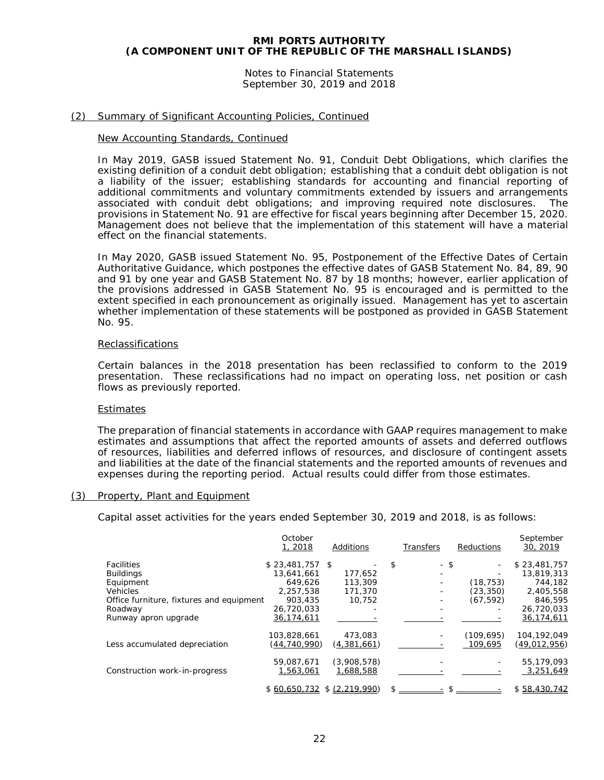Notes to Financial Statements September 30, 2019 and 2018

# (2) Summary of Significant Accounting Policies, Continued

#### New Accounting Standards, Continued

In May 2019, GASB issued Statement No. 91, *Conduit Debt Obligations*, which clarifies the existing definition of a conduit debt obligation; establishing that a conduit debt obligation is not a liability of the issuer; establishing standards for accounting and financial reporting of additional commitments and voluntary commitments extended by issuers and arrangements associated with conduit debt obligations; and improving required note disclosures. The provisions in Statement No. 91 are effective for fiscal years beginning after December 15, 2020. Management does not believe that the implementation of this statement will have a material effect on the financial statements.

In May 2020, GASB issued Statement No. 95, *Postponement of the Effective Dates of Certain Authoritative Guidance*, which postpones the effective dates of GASB Statement No. 84, 89, 90 and 91 by one year and GASB Statement No. 87 by 18 months; however, earlier application of the provisions addressed in GASB Statement No. 95 is encouraged and is permitted to the extent specified in each pronouncement as originally issued. Management has yet to ascertain whether implementation of these statements will be postponed as provided in GASB Statement No. 95.

#### Reclassifications

Certain balances in the 2018 presentation has been reclassified to conform to the 2019 presentation. These reclassifications had no impact on operating loss, net position or cash flows as previously reported.

#### **Estimates**

The preparation of financial statements in accordance with GAAP requires management to make estimates and assumptions that affect the reported amounts of assets and deferred outflows of resources, liabilities and deferred inflows of resources, and disclosure of contingent assets and liabilities at the date of the financial statements and the reported amounts of revenues and expenses during the reporting period. Actual results could differ from those estimates.

#### (3) Property, Plant and Equipment

Capital asset activities for the years ended September 30, 2019 and 2018, is as follows:

|                                          | October<br>1, 2018 | Additions      | <b>Transfers</b> | Reductions | September<br>30, 2019 |
|------------------------------------------|--------------------|----------------|------------------|------------|-----------------------|
|                                          |                    |                |                  |            |                       |
| <b>Facilities</b>                        | $$23,481,757$ \$   |                | \$<br>- \$       |            | \$23,481,757          |
| <b>Buildings</b>                         | 13,641,661         | 177,652        |                  |            | 13,819,313            |
| Equipment                                | 649.626            | 113,309        |                  | (18.753)   | 744.182               |
| <b>Vehicles</b>                          | 2.257.538          | 171,370        |                  | (23, 350)  | 2,405,558             |
| Office furniture, fixtures and equipment | 903,435            | 10.752         |                  | (67, 592)  | 846,595               |
| Roadway                                  | 26,720,033         |                |                  |            | 26,720,033            |
| Runway apron upgrade                     | 36,174,611         |                |                  |            | 36,174,611            |
|                                          | 103,828,661        | 473,083        |                  | (109.695)  | 104, 192, 049         |
| Less accumulated depreciation            | (44,740,990)       | (4,381,661)    |                  | 109,695    | (49,012,956)          |
|                                          | 59,087,671         | (3,908,578)    |                  |            | 55,179,093            |
| Construction work-in-progress            | 1,563,061          | 1,688,588      |                  |            | 3,251,649             |
|                                          | \$60,650,732       | \$ (2.219.990) | \$.              |            | \$58,430,742          |
|                                          |                    |                |                  |            |                       |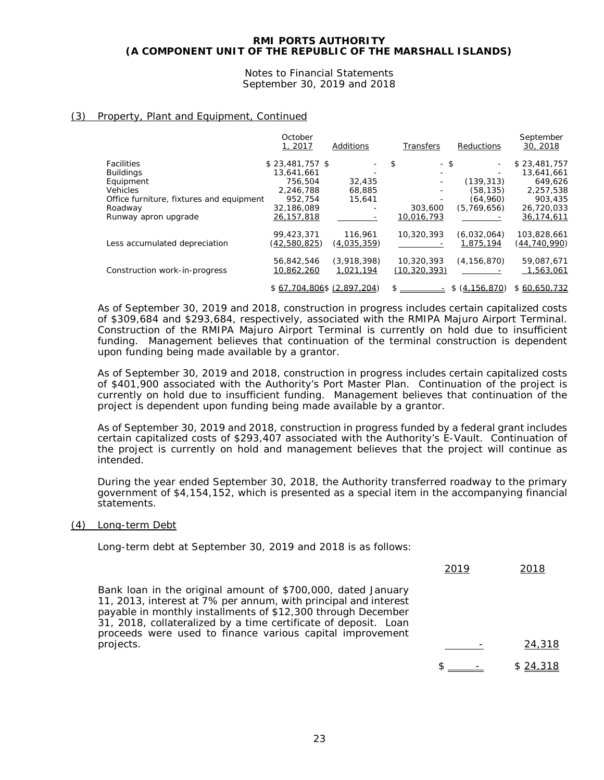Notes to Financial Statements September 30, 2019 and 2018

# (3) Property, Plant and Equipment, Continued

|                                          | October<br>1, 2017 | Additions                 | Transfers                    | Reductions       | September<br>30, 2018 |
|------------------------------------------|--------------------|---------------------------|------------------------------|------------------|-----------------------|
| <b>Facilities</b>                        | $$23,481,757$ \$   |                           | - \$                         |                  | \$23,481,757          |
| <b>Buildings</b>                         | 13,641,661         |                           |                              |                  | 13,641,661            |
| Equipment                                | 756,504            | 32,435                    | -                            | (139.313)        | 649.626               |
| <b>Vehicles</b>                          | 2.246.788          | 68,885                    | $\overline{\phantom{a}}$     | (58.135)         | 2,257,538             |
| Office furniture, fixtures and equipment | 952.754            | 15,641                    | $\qquad \qquad \blacksquare$ | (64,960)         | 903,435               |
| Roadway                                  | 32,186,089         |                           | 303,600                      | (5.769.656)      | 26,720,033            |
| Runway apron upgrade                     | 26,157,818         |                           | 10,016,793                   |                  | 36,174,611            |
|                                          | 99,423,371         | 116,961                   | 10,320,393                   | (6,032,064)      | 103,828,661           |
| Less accumulated depreciation            | (42,580,825)       | (4,035,359)               |                              | 1,875,194        | (44,740,990)          |
|                                          | 56,842,546         | (3,918,398)               | 10,320,393                   | (4, 156, 870)    | 59,087,671            |
| Construction work-in-progress            | 10,862,260         | 1,021,194                 | (10, 320, 393)               |                  | 1,563,061             |
|                                          |                    | \$67,704,806\$(2,897,204) |                              | \$ (4, 156, 870) | \$60.650.732          |

As of September 30, 2019 and 2018, construction in progress includes certain capitalized costs of \$309,684 and \$293,684, respectively, associated with the RMIPA Majuro Airport Terminal. Construction of the RMIPA Majuro Airport Terminal is currently on hold due to insufficient funding. Management believes that continuation of the terminal construction is dependent upon funding being made available by a grantor.

As of September 30, 2019 and 2018, construction in progress includes certain capitalized costs of \$401,900 associated with the Authority's Port Master Plan. Continuation of the project is currently on hold due to insufficient funding. Management believes that continuation of the project is dependent upon funding being made available by a grantor.

As of September 30, 2019 and 2018, construction in progress funded by a federal grant includes certain capitalized costs of \$293,407 associated with the Authority's E-Vault. Continuation of the project is currently on hold and management believes that the project will continue as intended.

During the year ended September 30, 2018, the Authority transferred roadway to the primary government of \$4,154,152, which is presented as a special item in the accompanying financial statements.

# (4) Long-term Debt

Long-term debt at September 30, 2019 and 2018 is as follows:

|                                                                                                                                                                                                                                                                                                                                 | 2019 | 2018     |
|---------------------------------------------------------------------------------------------------------------------------------------------------------------------------------------------------------------------------------------------------------------------------------------------------------------------------------|------|----------|
| Bank loan in the original amount of \$700,000, dated January<br>11, 2013, interest at 7% per annum, with principal and interest<br>payable in monthly installments of \$12,300 through December<br>31, 2018, collateralized by a time certificate of deposit. Loan<br>proceeds were used to finance various capital improvement |      |          |
| projects.                                                                                                                                                                                                                                                                                                                       |      | 24,318   |
|                                                                                                                                                                                                                                                                                                                                 |      | \$24,318 |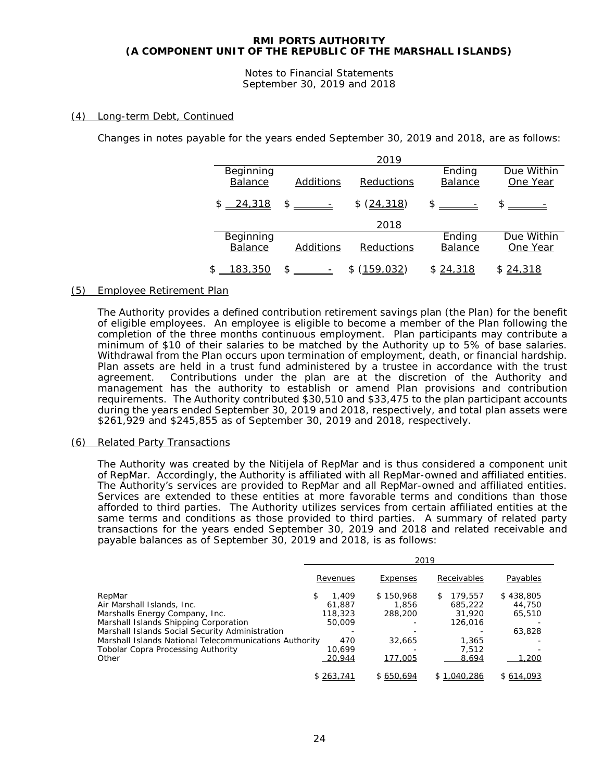Notes to Financial Statements September 30, 2019 and 2018

# (4) Long-term Debt, Continued

Changes in notes payable for the years ended September 30, 2019 and 2018, are as follows:

|                      |               | 2019             |                   |                        |
|----------------------|---------------|------------------|-------------------|------------------------|
| Beginning<br>Balance | Additions     | Reductions       | Ending<br>Balance | Due Within<br>One Year |
| $$ -24,318$          | $\frac{1}{2}$ | \$ (24, 318)     | $\frac{1}{2}$     | $\frac{1}{2}$ -        |
|                      |               | 2018             |                   |                        |
| Beginning<br>Balance | Additions     | Reductions       | Ending<br>Balance | Due Within<br>One Year |
| 183,350              | $$$ -         | (159, 032)<br>\$ | \$24,318          | \$24,318               |

# (5) Employee Retirement Plan

The Authority provides a defined contribution retirement savings plan (the Plan) for the benefit of eligible employees. An employee is eligible to become a member of the Plan following the completion of the three months continuous employment. Plan participants may contribute a minimum of \$10 of their salaries to be matched by the Authority up to 5% of base salaries. Withdrawal from the Plan occurs upon termination of employment, death, or financial hardship. Plan assets are held in a trust fund administered by a trustee in accordance with the trust and<br>Prother the distributions and the plan are at the discretion of the Authority and Contributions under the plan are at the discretion of the Authority and management has the authority to establish or amend Plan provisions and contribution requirements. The Authority contributed \$30,510 and \$33,475 to the plan participant accounts during the years ended September 30, 2019 and 2018, respectively, and total plan assets were \$261,929 and \$245,855 as of September 30, 2019 and 2018, respectively.

#### (6) Related Party Transactions

The Authority was created by the Nitijela of RepMar and is thus considered a component unit of RepMar. Accordingly, the Authority is affiliated with all RepMar-owned and affiliated entities. The Authority's services are provided to RepMar and all RepMar-owned and affiliated entities. Services are extended to these entities at more favorable terms and conditions than those afforded to third parties. The Authority utilizes services from certain affiliated entities at the same terms and conditions as those provided to third parties. A summary of related party transactions for the years ended September 30, 2019 and 2018 and related receivable and payable balances as of September 30, 2019 and 2018, is as follows:

|                                                        | 2019        |           |                |           |  |
|--------------------------------------------------------|-------------|-----------|----------------|-----------|--|
|                                                        | Revenues    | Expenses  | Receivables    | Payables  |  |
| RepMar                                                 | \$<br>1.409 | \$150,968 | 179.557<br>\$. | \$438,805 |  |
| Air Marshall Islands, Inc.                             | 61,887      | 1,856     | 685,222        | 44,750    |  |
| Marshalls Energy Company, Inc.                         | 118,323     | 288,200   | 31,920         | 65,510    |  |
| Marshall Islands Shipping Corporation                  | 50,009      |           | 126,016        |           |  |
| Marshall Islands Social Security Administration        |             |           |                | 63,828    |  |
| Marshall Islands National Telecommunications Authority | 470         | 32,665    | 1,365          |           |  |
| <b>Tobolar Copra Processing Authority</b>              | 10.699      |           | 7.512          |           |  |
| Other                                                  | 20,944      | 177,005   | 8,694          | 1,200     |  |
|                                                        | \$263.741   | \$650.694 | \$1.040.286    | \$614.093 |  |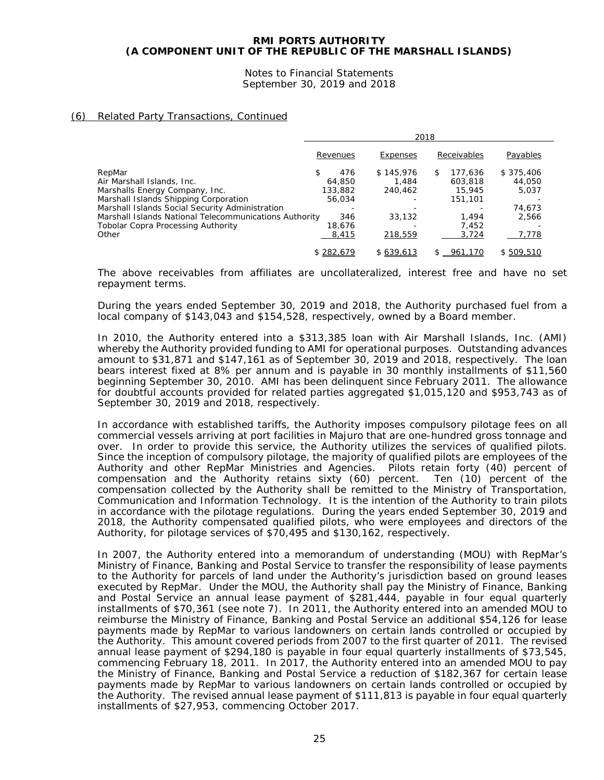Notes to Financial Statements September 30, 2019 and 2018

# (6) Related Party Transactions, Continued

|                                                        | 2018      |           |                |           |  |
|--------------------------------------------------------|-----------|-----------|----------------|-----------|--|
|                                                        | Revenues  | Expenses  | Receivables    | Payables  |  |
| RepMar                                                 | \$<br>476 | \$145,976 | 177.636<br>\$  | \$375,406 |  |
| Air Marshall Islands, Inc.                             | 64,850    | 1,484     | 603,818        | 44,050    |  |
| Marshalls Energy Company, Inc.                         | 133,882   | 240.462   | 15,945         | 5,037     |  |
| Marshall Islands Shipping Corporation                  | 56,034    |           | 151,101        |           |  |
| Marshall Islands Social Security Administration        |           |           |                | 74,673    |  |
| Marshall Islands National Telecommunications Authority | 346       | 33,132    | 1.494          | 2,566     |  |
| <b>Tobolar Copra Processing Authority</b>              | 18,676    |           | 7.452          |           |  |
| Other                                                  | 8,415     | 218,559   | 3,724          | 7,778     |  |
|                                                        | \$282.679 | \$639.613 | 961.170<br>SS. | \$509.510 |  |

The above receivables from affiliates are uncollateralized, interest free and have no set repayment terms.

During the years ended September 30, 2019 and 2018, the Authority purchased fuel from a local company of \$143,043 and \$154,528, respectively, owned by a Board member.

In 2010, the Authority entered into a \$313,385 loan with Air Marshall Islands, Inc. (AMI) whereby the Authority provided funding to AMI for operational purposes. Outstanding advances amount to \$31,871 and \$147,161 as of September 30, 2019 and 2018, respectively. The loan bears interest fixed at 8% per annum and is payable in 30 monthly installments of \$11,560 beginning September 30, 2010. AMI has been delinquent since February 2011. The allowance for doubtful accounts provided for related parties aggregated \$1,015,120 and \$953,743 as of September 30, 2019 and 2018, respectively.

In accordance with established tariffs, the Authority imposes compulsory pilotage fees on all commercial vessels arriving at port facilities in Majuro that are one-hundred gross tonnage and over. In order to provide this service, the Authority utilizes the services of qualified pilots. Since the inception of compulsory pilotage, the majority of qualified pilots are employees of the Authority and other RepMar Ministries and Agencies. Pilots retain forty (40) percent of compensation and the Authority retains sixty (60) percent. Ten (10) percent of the compensation collected by the Authority shall be remitted to the Ministry of Transportation, Communication and Information Technology. It is the intention of the Authority to train pilots in accordance with the pilotage regulations. During the years ended September 30, 2019 and 2018, the Authority compensated qualified pilots, who were employees and directors of the Authority, for pilotage services of \$70,495 and \$130,162, respectively.

In 2007, the Authority entered into a memorandum of understanding (MOU) with RepMar's Ministry of Finance, Banking and Postal Service to transfer the responsibility of lease payments to the Authority for parcels of land under the Authority's jurisdiction based on ground leases executed by RepMar. Under the MOU, the Authority shall pay the Ministry of Finance, Banking and Postal Service an annual lease payment of \$281,444, payable in four equal quarterly installments of \$70,361 (see note 7). In 2011, the Authority entered into an amended MOU to reimburse the Ministry of Finance, Banking and Postal Service an additional \$54,126 for lease payments made by RepMar to various landowners on certain lands controlled or occupied by the Authority. This amount covered periods from 2007 to the first quarter of 2011. The revised annual lease payment of \$294,180 is payable in four equal quarterly installments of \$73,545, commencing February 18, 2011. In 2017, the Authority entered into an amended MOU to pay the Ministry of Finance, Banking and Postal Service a reduction of \$182,367 for certain lease payments made by RepMar to various landowners on certain lands controlled or occupied by the Authority. The revised annual lease payment of \$111,813 is payable in four equal quarterly installments of \$27,953, commencing October 2017.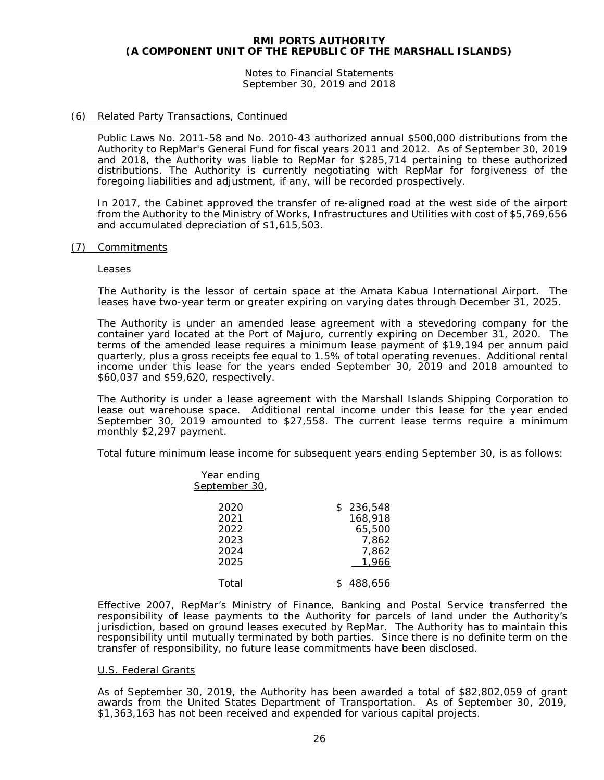Notes to Financial Statements September 30, 2019 and 2018

# (6) Related Party Transactions, Continued

Public Laws No. 2011-58 and No. 2010-43 authorized annual \$500,000 distributions from the Authority to RepMar's General Fund for fiscal years 2011 and 2012. As of September 30, 2019 and 2018, the Authority was liable to RepMar for \$285,714 pertaining to these authorized distributions. The Authority is currently negotiating with RepMar for forgiveness of the foregoing liabilities and adjustment, if any, will be recorded prospectively.

In 2017, the Cabinet approved the transfer of re-aligned road at the west side of the airport from the Authority to the Ministry of Works, Infrastructures and Utilities with cost of \$5,769,656 and accumulated depreciation of \$1,615,503.

#### (7) Commitments

#### Leases

The Authority is the lessor of certain space at the Amata Kabua International Airport. The leases have two-year term or greater expiring on varying dates through December 31, 2025.

The Authority is under an amended lease agreement with a stevedoring company for the container yard located at the Port of Majuro, currently expiring on December 31, 2020. The terms of the amended lease requires a minimum lease payment of \$19,194 per annum paid quarterly, plus a gross receipts fee equal to 1.5% of total operating revenues. Additional rental income under this lease for the years ended September 30, 2019 and 2018 amounted to \$60,037 and \$59,620, respectively.

The Authority is under a lease agreement with the Marshall Islands Shipping Corporation to lease out warehouse space. Additional rental income under this lease for the year ended September 30, 2019 amounted to \$27,558. The current lease terms require a minimum monthly \$2,297 payment.

Total future minimum lease income for subsequent years ending September 30, is as follows:

| Year ending<br>September 30, |           |
|------------------------------|-----------|
| 2020                         | \$236,548 |
| 2021                         | 168,918   |
| 2022                         | 65,500    |
| 2023                         | 7,862     |
| 2024                         | 7,862     |
| 2025                         | 1,966     |
|                              |           |
| Total                        |           |

Effective 2007, RepMar's Ministry of Finance, Banking and Postal Service transferred the responsibility of lease payments to the Authority for parcels of land under the Authority's jurisdiction, based on ground leases executed by RepMar. The Authority has to maintain this responsibility until mutually terminated by both parties. Since there is no definite term on the transfer of responsibility, no future lease commitments have been disclosed.

#### U.S. Federal Grants

As of September 30, 2019, the Authority has been awarded a total of \$82,802,059 of grant awards from the United States Department of Transportation. As of September 30, 2019, \$1,363,163 has not been received and expended for various capital projects.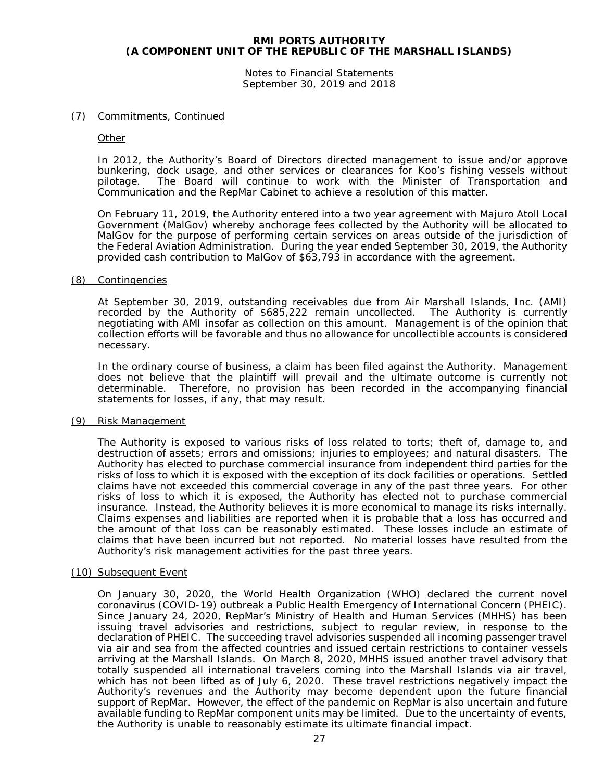Notes to Financial Statements September 30, 2019 and 2018

# (7) Commitments, Continued

**Other** 

In 2012, the Authority's Board of Directors directed management to issue and/or approve bunkering, dock usage, and other services or clearances for Koo's fishing vessels without pilotage. The Board will continue to work with the Minister of Transportation and Communication and the RepMar Cabinet to achieve a resolution of this matter.

On February 11, 2019, the Authority entered into a two year agreement with Majuro Atoll Local Government (MalGov) whereby anchorage fees collected by the Authority will be allocated to MalGov for the purpose of performing certain services on areas outside of the jurisdiction of the Federal Aviation Administration. During the year ended September 30, 2019, the Authority provided cash contribution to MalGov of \$63,793 in accordance with the agreement.

#### (8) Contingencies

At September 30, 2019, outstanding receivables due from Air Marshall Islands, Inc. (AMI) recorded by the Authority of \$685,222 remain uncollected. The Authority is currently negotiating with AMI insofar as collection on this amount. Management is of the opinion that collection efforts will be favorable and thus no allowance for uncollectible accounts is considered necessary.

In the ordinary course of business, a claim has been filed against the Authority. Management does not believe that the plaintiff will prevail and the ultimate outcome is currently not determinable. Therefore, no provision has been recorded in the accompanying financial statements for losses, if any, that may result.

# (9) Risk Management

The Authority is exposed to various risks of loss related to torts; theft of, damage to, and destruction of assets; errors and omissions; injuries to employees; and natural disasters. The Authority has elected to purchase commercial insurance from independent third parties for the risks of loss to which it is exposed with the exception of its dock facilities or operations. Settled claims have not exceeded this commercial coverage in any of the past three years. For other risks of loss to which it is exposed, the Authority has elected not to purchase commercial insurance. Instead, the Authority believes it is more economical to manage its risks internally. Claims expenses and liabilities are reported when it is probable that a loss has occurred and the amount of that loss can be reasonably estimated. These losses include an estimate of claims that have been incurred but not reported. No material losses have resulted from the Authority's risk management activities for the past three years.

#### (10) Subsequent Event

On January 30, 2020, the World Health Organization (WHO) declared the current novel coronavirus (COVID-19) outbreak a Public Health Emergency of International Concern (PHEIC). Since January 24, 2020, RepMar's Ministry of Health and Human Services (MHHS) has been issuing travel advisories and restrictions, subject to regular review, in response to the declaration of PHEIC. The succeeding travel advisories suspended all incoming passenger travel via air and sea from the affected countries and issued certain restrictions to container vessels arriving at the Marshall Islands. On March 8, 2020, MHHS issued another travel advisory that totally suspended all international travelers coming into the Marshall Islands via air travel, which has not been lifted as of July 6, 2020. These travel restrictions negatively impact the Authority's revenues and the Authority may become dependent upon the future financial support of RepMar. However, the effect of the pandemic on RepMar is also uncertain and future available funding to RepMar component units may be limited. Due to the uncertainty of events, the Authority is unable to reasonably estimate its ultimate financial impact.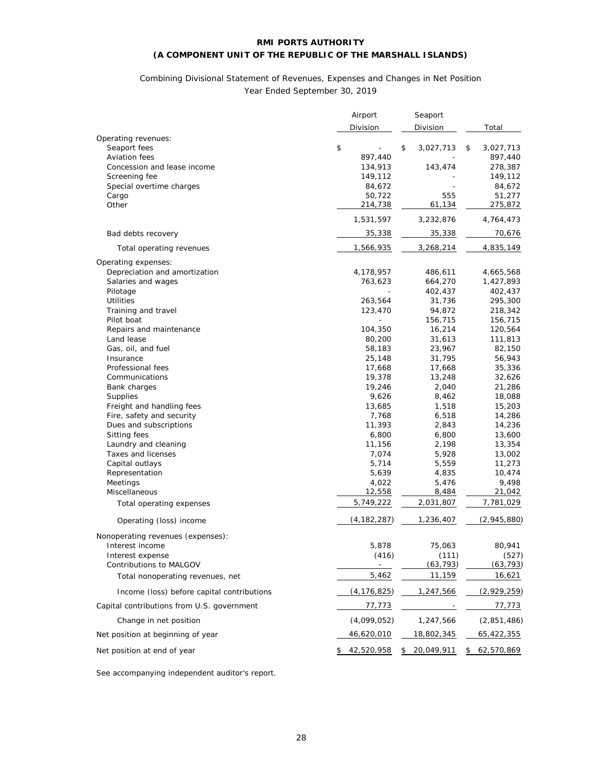# **RMI PORTS AUTHORITY**

# **(A COMPONENT UNIT OF THE REPUBLIC OF THE MARSHALL ISLANDS)**

# Combining Divisional Statement of Revenues, Expenses and Changes in Net Position Year Ended September 30, 2019

|                                            | Airport<br>Seaport |                   |                   |  |
|--------------------------------------------|--------------------|-------------------|-------------------|--|
|                                            | Division           | Division          | Total             |  |
| Operating revenues:                        |                    |                   |                   |  |
| Seaport fees                               | \$                 | \$<br>3,027,713   | \$<br>3,027,713   |  |
| <b>Aviation fees</b>                       | 897,440            |                   | 897,440           |  |
| Concession and lease income                | 134,913            | 143,474           | 278,387           |  |
| Screening fee                              | 149,112            |                   | 149,112           |  |
| Special overtime charges                   | 84,672             |                   | 84,672            |  |
| Cargo                                      | 50,722             | 555               | 51,277            |  |
| Other                                      | 214,738            | 61,134            | 275,872           |  |
|                                            | 1,531,597          | 3,232,876         | 4,764,473         |  |
| Bad debts recovery                         | 35,338             | 35,338            | 70,676            |  |
| Total operating revenues                   | 1,566,935          | 3,268,214         | 4,835,149         |  |
| Operating expenses:                        |                    |                   |                   |  |
| Depreciation and amortization              | 4,178,957          | 486,611           | 4,665,568         |  |
| Salaries and wages                         | 763,623            | 664,270           | 1,427,893         |  |
| Pilotage                                   | ÷,                 | 402,437           | 402,437           |  |
| Utilities                                  | 263,564            | 31,736            | 295,300           |  |
| Training and travel                        | 123,470            | 94,872            | 218,342           |  |
| Pilot boat                                 |                    | 156,715           | 156,715           |  |
| Repairs and maintenance                    | 104,350            | 16,214            | 120,564           |  |
| Land lease                                 | 80,200             | 31,613            | 111,813           |  |
| Gas, oil, and fuel                         | 58,183             | 23,967            | 82,150            |  |
| Insurance                                  | 25,148             | 31,795            | 56,943            |  |
| Professional fees                          | 17,668             | 17,668            | 35,336            |  |
| Communications                             | 19,378             | 13,248            | 32,626            |  |
| Bank charges                               | 19,246             | 2,040             | 21,286            |  |
| Supplies                                   | 9,626              | 8,462             | 18,088            |  |
| Freight and handling fees                  | 13,685             | 1,518             | 15,203            |  |
| Fire, safety and security                  | 7,768              | 6,518             | 14,286            |  |
| Dues and subscriptions                     | 11,393             | 2,843             | 14,236            |  |
| Sitting fees                               | 6,800              | 6,800             | 13,600            |  |
| Laundry and cleaning                       | 11,156             | 2,198             | 13,354            |  |
| Taxes and licenses                         | 7,074              | 5,928             | 13,002            |  |
| Capital outlays                            | 5,714              | 5,559             | 11,273            |  |
| Representation                             | 5,639              | 4,835             | 10,474            |  |
| Meetings                                   | 4,022              | 5,476             | 9,498             |  |
| Miscellaneous                              | 12,558             | 8,484             | 21,042            |  |
| Total operating expenses                   | 5,749,222          | 2,031,807         | 7,781,029         |  |
| Operating (loss) income                    | (4, 182, 287)      | 1,236,407         | (2, 945, 880)     |  |
| Nonoperating revenues (expenses):          |                    |                   |                   |  |
| Interest income                            | 5,878              | 75,063            | 80,941            |  |
| Interest expense                           | (416)              | (111)             | (527)             |  |
| Contributions to MALGOV                    |                    | (63, 793)         | (63, 793)         |  |
| Total nonoperating revenues, net           | 5,462              | 11,159            | 16,621            |  |
| Income (loss) before capital contributions | (4, 176, 825)      | 1,247,566         | (2,929,259)       |  |
| Capital contributions from U.S. government | 77,773             |                   | 77,773            |  |
| Change in net position                     | (4,099,052)        | 1,247,566         | (2,851,486)       |  |
| Net position at beginning of year          | <u>46,620,010</u>  | <u>18,802,345</u> | <u>65,422,355</u> |  |
| Net position at end of year                | 42,520,958<br>\$   | 20,049,911<br>\$  | 62,570,869<br>\$  |  |

See accompanying independent auditor's report.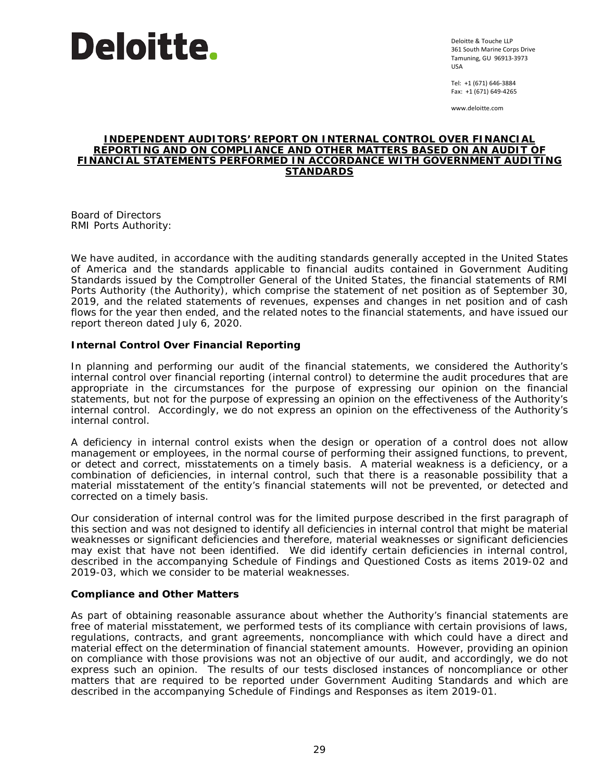

Deloitte & Touche LLP 361 South Marine Corps Drive Tamuning, GU 96913-3973 USA

Tel: +1 (671) 646-3884 Fax: +1 (671) 649-4265

www.deloitte.com

#### **INDEPENDENT AUDITORS' REPORT ON INTERNAL CONTROL OVER FINANCIAL REPORTING AND ON COMPLIANCE AND OTHER MATTERS BASED ON AN AUDIT OF FINANCIAL STATEMENTS PERFORMED IN ACCORDANCE WITH** *GOVERNMENT AUDITING STANDARDS*

Board of Directors RMI Ports Authority:

We have audited, in accordance with the auditing standards generally accepted in the United States of America and the standards applicable to financial audits contained in *Government Auditing Standards* issued by the Comptroller General of the United States, the financial statements of RMI Ports Authority (the Authority), which comprise the statement of net position as of September 30, 2019, and the related statements of revenues, expenses and changes in net position and of cash flows for the year then ended, and the related notes to the financial statements, and have issued our report thereon dated July 6, 2020.

# **Internal Control Over Financial Reporting**

In planning and performing our audit of the financial statements, we considered the Authority's internal control over financial reporting (internal control) to determine the audit procedures that are appropriate in the circumstances for the purpose of expressing our opinion on the financial statements, but not for the purpose of expressing an opinion on the effectiveness of the Authority's internal control. Accordingly, we do not express an opinion on the effectiveness of the Authority's internal control.

A *deficiency in internal control* exists when the design or operation of a control does not allow management or employees, in the normal course of performing their assigned functions, to prevent, or detect and correct, misstatements on a timely basis. A *material weakness* is a deficiency, or a combination of deficiencies, in internal control, such that there is a reasonable possibility that a material misstatement of the entity's financial statements will not be prevented, or detected and corrected on a timely basis.

Our consideration of internal control was for the limited purpose described in the first paragraph of this section and was not designed to identify all deficiencies in internal control that might be material weaknesses or significant deficiencies and therefore, material weaknesses or significant deficiencies may exist that have not been identified. We did identify certain deficiencies in internal control, described in the accompanying Schedule of Findings and Questioned Costs as items 2019-02 and 2019-03, which we consider to be material weaknesses.

# **Compliance and Other Matters**

As part of obtaining reasonable assurance about whether the Authority's financial statements are free of material misstatement, we performed tests of its compliance with certain provisions of laws, regulations, contracts, and grant agreements, noncompliance with which could have a direct and material effect on the determination of financial statement amounts. However, providing an opinion on compliance with those provisions was not an objective of our audit, and accordingly, we do not express such an opinion. The results of our tests disclosed instances of noncompliance or other matters that are required to be reported under *Government Auditing Standards* and which are described in the accompanying Schedule of Findings and Responses as item 2019-01.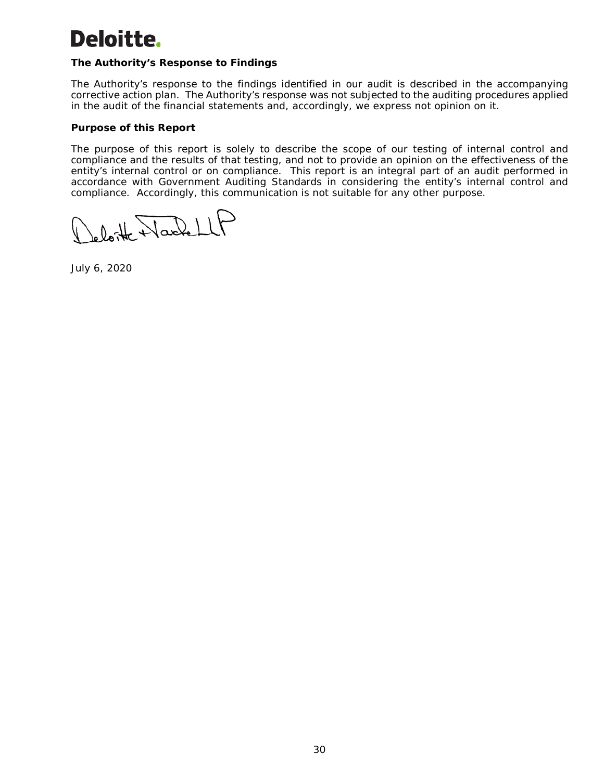# **Deloitte.**

# **The Authority's Response to Findings**

The Authority's response to the findings identified in our audit is described in the accompanying corrective action plan. The Authority's response was not subjected to the auditing procedures applied in the audit of the financial statements and, accordingly, we express not opinion on it.

# **Purpose of this Report**

The purpose of this report is solely to describe the scope of our testing of internal control and compliance and the results of that testing, and not to provide an opinion on the effectiveness of the entity's internal control or on compliance. This report is an integral part of an audit performed in accordance with *Government Auditing Standards* in considering the entity's internal control and compliance. Accordingly, this communication is not suitable for any other purpose.

bitte Nachell

July 6, 2020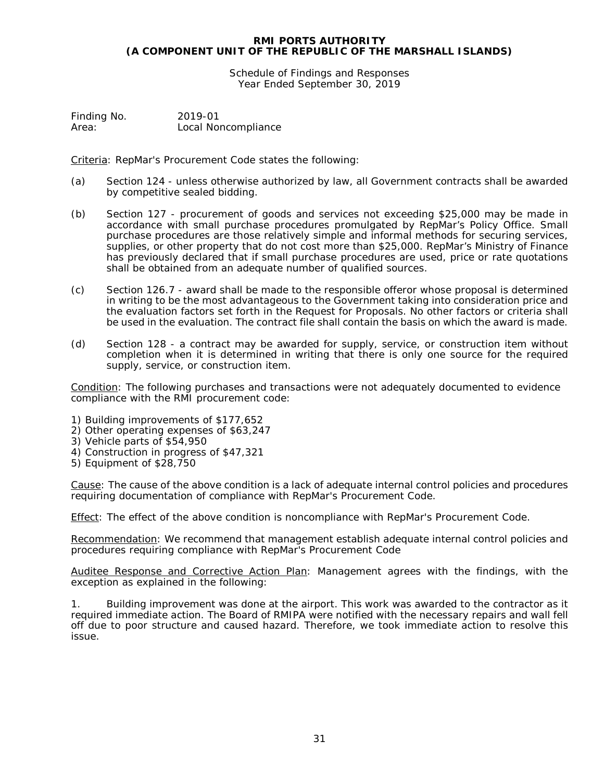Schedule of Findings and Responses Year Ended September 30, 2019

Finding No. 2019-01 Area: Local Noncompliance

Criteria: RepMar's Procurement Code states the following:

- (a) Section 124 unless otherwise authorized by law, all Government contracts shall be awarded by competitive sealed bidding.
- (b) Section 127 procurement of goods and services not exceeding \$25,000 may be made in accordance with small purchase procedures promulgated by RepMar's Policy Office. Small purchase procedures are those relatively simple and informal methods for securing services, supplies, or other property that do not cost more than \$25,000. RepMar's Ministry of Finance has previously declared that if small purchase procedures are used, price or rate quotations shall be obtained from an adequate number of qualified sources.
- (c) Section 126.7 award shall be made to the responsible offeror whose proposal is determined in writing to be the most advantageous to the Government taking into consideration price and the evaluation factors set forth in the Request for Proposals. No other factors or criteria shall be used in the evaluation. The contract file shall contain the basis on which the award is made.
- (d) Section 128 a contract may be awarded for supply, service, or construction item without completion when it is determined in writing that there is only one source for the required supply, service, or construction item.

Condition: The following purchases and transactions were not adequately documented to evidence compliance with the RMI procurement code:

- 1) Building improvements of \$177,652
- 2) Other operating expenses of \$63,247
- 3) Vehicle parts of \$54,950
- 4) Construction in progress of \$47,321
- 5) Equipment of \$28,750

Cause: The cause of the above condition is a lack of adequate internal control policies and procedures requiring documentation of compliance with RepMar's Procurement Code.

Effect: The effect of the above condition is noncompliance with RepMar's Procurement Code.

Recommendation: We recommend that management establish adequate internal control policies and procedures requiring compliance with RepMar's Procurement Code

Auditee Response and Corrective Action Plan: Management agrees with the findings, with the exception as explained in the following:

1. Building improvement was done at the airport. This work was awarded to the contractor as it required immediate action. The Board of RMIPA were notified with the necessary repairs and wall fell off due to poor structure and caused hazard. Therefore, we took immediate action to resolve this issue.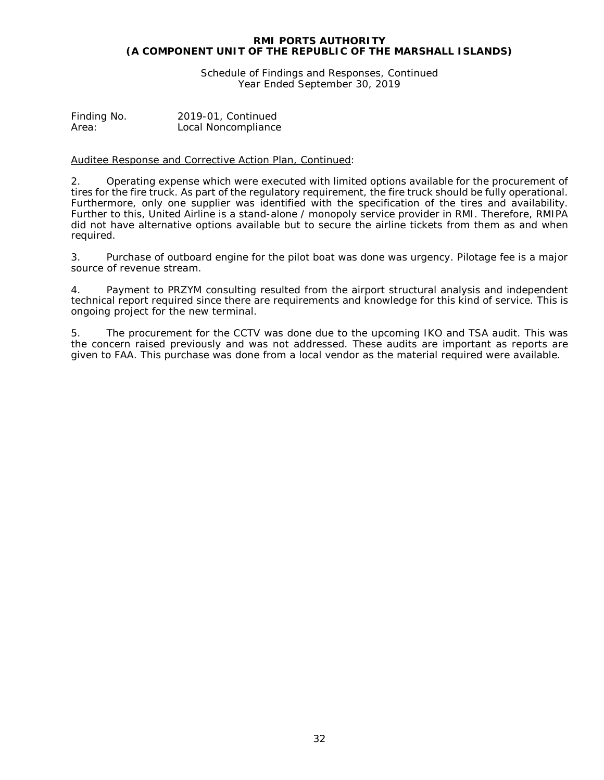Schedule of Findings and Responses, Continued Year Ended September 30, 2019

Finding No. 2019-01, Continued Area: Local Noncompliance

# Auditee Response and Corrective Action Plan, Continued:

2. Operating expense which were executed with limited options available for the procurement of tires for the fire truck. As part of the regulatory requirement, the fire truck should be fully operational. Furthermore, only one supplier was identified with the specification of the tires and availability. Further to this, United Airline is a stand-alone / monopoly service provider in RMI. Therefore, RMIPA did not have alternative options available but to secure the airline tickets from them as and when required.

3. Purchase of outboard engine for the pilot boat was done was urgency. Pilotage fee is a major source of revenue stream.

4. Payment to PRZYM consulting resulted from the airport structural analysis and independent technical report required since there are requirements and knowledge for this kind of service. This is ongoing project for the new terminal.

5. The procurement for the CCTV was done due to the upcoming IKO and TSA audit. This was the concern raised previously and was not addressed. These audits are important as reports are given to FAA. This purchase was done from a local vendor as the material required were available.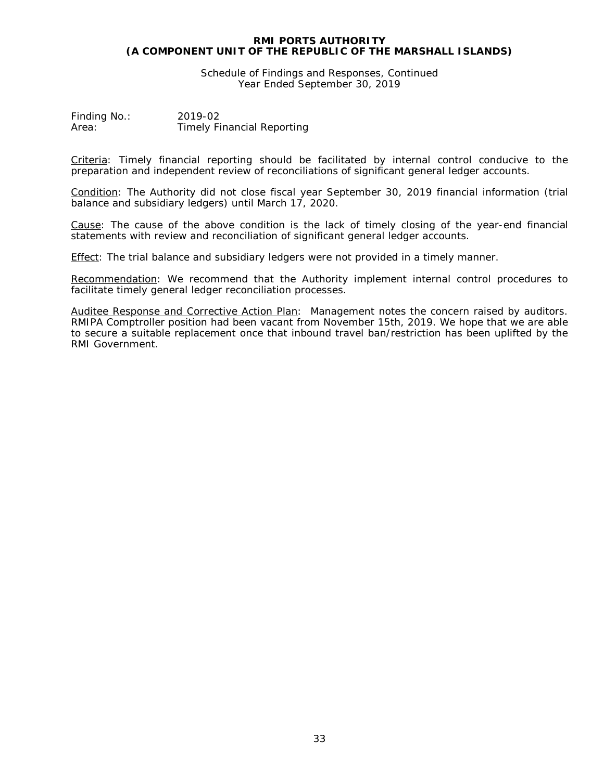Schedule of Findings and Responses, Continued Year Ended September 30, 2019

Finding No.: 2019-02<br>Area: Timely Fi **Timely Financial Reporting** 

Criteria: Timely financial reporting should be facilitated by internal control conducive to the preparation and independent review of reconciliations of significant general ledger accounts.

Condition: The Authority did not close fiscal year September 30, 2019 financial information (trial balance and subsidiary ledgers) until March 17, 2020.

Cause: The cause of the above condition is the lack of timely closing of the year-end financial statements with review and reconciliation of significant general ledger accounts.

Effect: The trial balance and subsidiary ledgers were not provided in a timely manner.

Recommendation: We recommend that the Authority implement internal control procedures to facilitate timely general ledger reconciliation processes.

Auditee Response and Corrective Action Plan: Management notes the concern raised by auditors. RMIPA Comptroller position had been vacant from November 15th, 2019. We hope that we are able to secure a suitable replacement once that inbound travel ban/restriction has been uplifted by the RMI Government.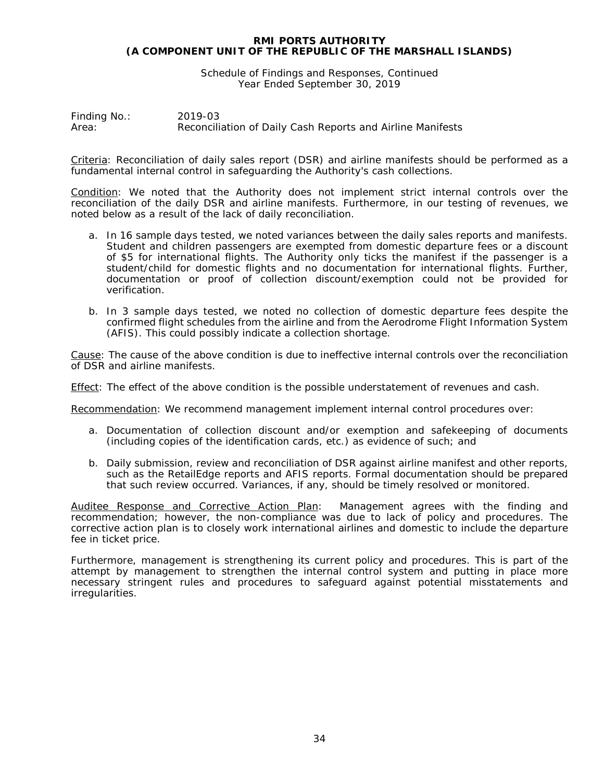Schedule of Findings and Responses, Continued Year Ended September 30, 2019

Finding No.: 2019-03 Area: Reconciliation of Daily Cash Reports and Airline Manifests

Criteria: Reconciliation of daily sales report (DSR) and airline manifests should be performed as a fundamental internal control in safeguarding the Authority's cash collections.

Condition: We noted that the Authority does not implement strict internal controls over the reconciliation of the daily DSR and airline manifests. Furthermore, in our testing of revenues, we noted below as a result of the lack of daily reconciliation.

- a. In 16 sample days tested, we noted variances between the daily sales reports and manifests. Student and children passengers are exempted from domestic departure fees or a discount of \$5 for international flights. The Authority only ticks the manifest if the passenger is a student/child for domestic flights and no documentation for international flights. Further, documentation or proof of collection discount/exemption could not be provided for verification.
- b. In 3 sample days tested, we noted no collection of domestic departure fees despite the confirmed flight schedules from the airline and from the Aerodrome Flight Information System (AFIS). This could possibly indicate a collection shortage.

Cause: The cause of the above condition is due to ineffective internal controls over the reconciliation of DSR and airline manifests.

Effect: The effect of the above condition is the possible understatement of revenues and cash.

Recommendation: We recommend management implement internal control procedures over:

- a. Documentation of collection discount and/or exemption and safekeeping of documents (including copies of the identification cards, etc.) as evidence of such; and
- b. Daily submission, review and reconciliation of DSR against airline manifest and other reports, such as the RetailEdge reports and AFIS reports. Formal documentation should be prepared that such review occurred. Variances, if any, should be timely resolved or monitored.

Auditee Response and Corrective Action Plan: Management agrees with the finding and recommendation; however, the non-compliance was due to lack of policy and procedures. The corrective action plan is to closely work international airlines and domestic to include the departure fee in ticket price.

Furthermore, management is strengthening its current policy and procedures. This is part of the attempt by management to strengthen the internal control system and putting in place more necessary stringent rules and procedures to safeguard against potential misstatements and irregularities.